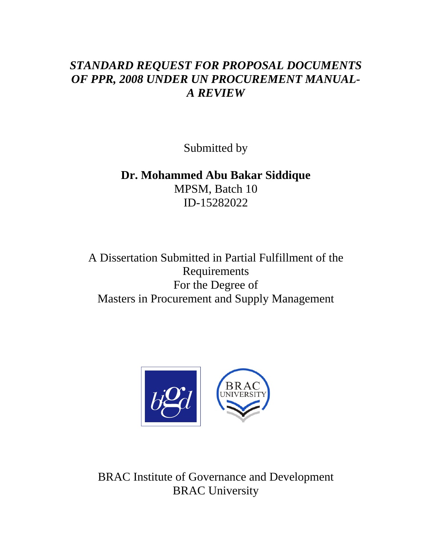# *STANDARD REQUEST FOR PROPOSAL DOCUMENTS OF PPR, 2008 UNDER UN PROCUREMENT MANUAL-A REVIEW*

Submitted by

**Dr. Mohammed Abu Bakar Siddique**  MPSM, Batch 10 ID-15282022

A Dissertation Submitted in Partial Fulfillment of the Requirements For the Degree of Masters in Procurement and Supply Management



BRAC Institute of Governance and Development BRAC University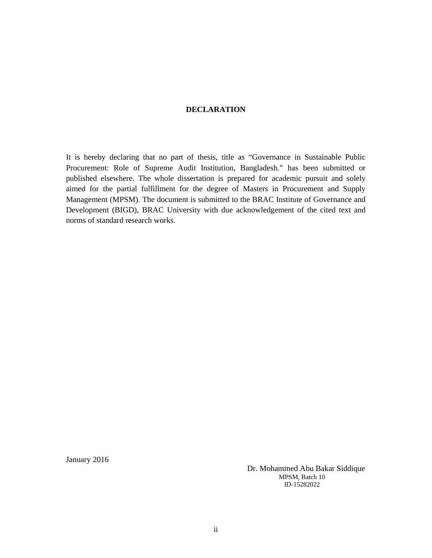### **DECLARATION**

It is hereby declaring that no part of thesis, title as "Governance in Sustainable Public Procurement: Role of Supreme Audit Institution, Bangladesh." has been submitted or published elsewhere. The whole dissertation is prepared for academic pursuit and solely aimed for the partial fulfillment for the degree of Masters in Procurement and Supply Management (MPSM). The document is submitted to the BRAC Institute of Governance and Development (BIGD), BRAC University with due acknowledgement of the cited text and norms of standard research works.

January 2016

 Dr. Mohammed Abu Bakar Siddique MPSM, Batch 10 ID-15282022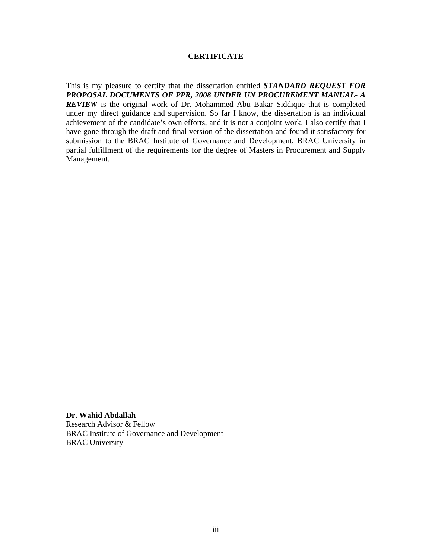#### **CERTIFICATE**

This is my pleasure to certify that the dissertation entitled *STANDARD REQUEST FOR PROPOSAL DOCUMENTS OF PPR, 2008 UNDER UN PROCUREMENT MANUAL- A REVIEW* is the original work of Dr. Mohammed Abu Bakar Siddique that is completed under my direct guidance and supervision. So far I know, the dissertation is an individual achievement of the candidate's own efforts, and it is not a conjoint work. I also certify that I have gone through the draft and final version of the dissertation and found it satisfactory for submission to the BRAC Institute of Governance and Development, BRAC University in partial fulfillment of the requirements for the degree of Masters in Procurement and Supply Management.

**Dr. Wahid Abdallah**  Research Advisor & Fellow BRAC Institute of Governance and Development BRAC University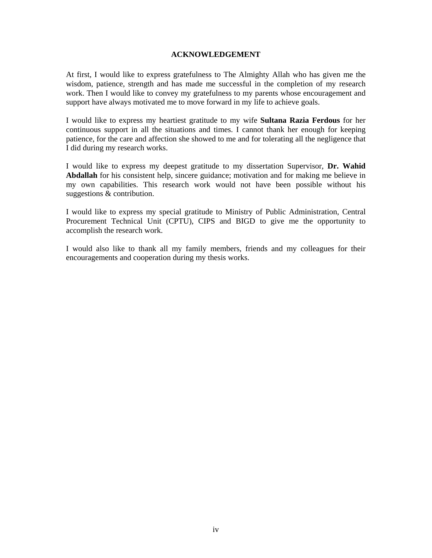### **ACKNOWLEDGEMENT**

At first, I would like to express gratefulness to The Almighty Allah who has given me the wisdom, patience, strength and has made me successful in the completion of my research work. Then I would like to convey my gratefulness to my parents whose encouragement and support have always motivated me to move forward in my life to achieve goals.

I would like to express my heartiest gratitude to my wife **Sultana Razia Ferdous** for her continuous support in all the situations and times. I cannot thank her enough for keeping patience, for the care and affection she showed to me and for tolerating all the negligence that I did during my research works.

I would like to express my deepest gratitude to my dissertation Supervisor, **Dr. Wahid Abdallah** for his consistent help, sincere guidance; motivation and for making me believe in my own capabilities. This research work would not have been possible without his suggestions & contribution.

I would like to express my special gratitude to Ministry of Public Administration, Central Procurement Technical Unit (CPTU), CIPS and BIGD to give me the opportunity to accomplish the research work.

I would also like to thank all my family members, friends and my colleagues for their encouragements and cooperation during my thesis works.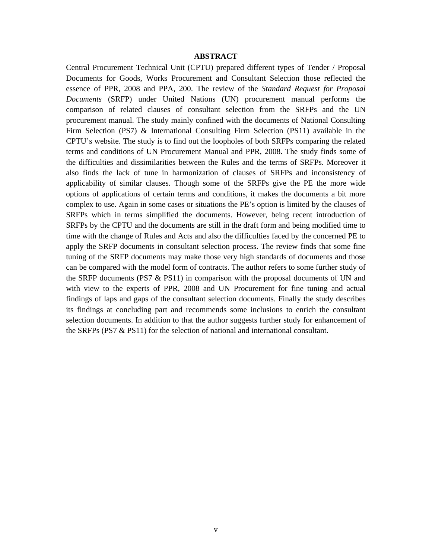#### **ABSTRACT**

Central Procurement Technical Unit (CPTU) prepared different types of Tender / Proposal Documents for Goods, Works Procurement and Consultant Selection those reflected the essence of PPR, 2008 and PPA, 200. The review of the *Standard Request for Proposal Documents* (SRFP) under United Nations (UN) procurement manual performs the comparison of related clauses of consultant selection from the SRFPs and the UN procurement manual. The study mainly confined with the documents of National Consulting Firm Selection (PS7) & International Consulting Firm Selection (PS11) available in the CPTU's website. The study is to find out the loopholes of both SRFPs comparing the related terms and conditions of UN Procurement Manual and PPR, 2008. The study finds some of the difficulties and dissimilarities between the Rules and the terms of SRFPs. Moreover it also finds the lack of tune in harmonization of clauses of SRFPs and inconsistency of applicability of similar clauses. Though some of the SRFPs give the PE the more wide options of applications of certain terms and conditions, it makes the documents a bit more complex to use. Again in some cases or situations the PE's option is limited by the clauses of SRFPs which in terms simplified the documents. However, being recent introduction of SRFPs by the CPTU and the documents are still in the draft form and being modified time to time with the change of Rules and Acts and also the difficulties faced by the concerned PE to apply the SRFP documents in consultant selection process. The review finds that some fine tuning of the SRFP documents may make those very high standards of documents and those can be compared with the model form of contracts. The author refers to some further study of the SRFP documents (PS7  $\&$  PS11) in comparison with the proposal documents of UN and with view to the experts of PPR, 2008 and UN Procurement for fine tuning and actual findings of laps and gaps of the consultant selection documents. Finally the study describes its findings at concluding part and recommends some inclusions to enrich the consultant selection documents. In addition to that the author suggests further study for enhancement of the SRFPs (PS7 & PS11) for the selection of national and international consultant.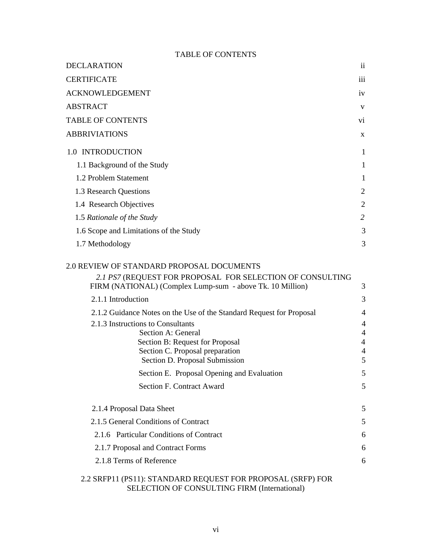### TABLE OF CONTENTS

| <b>DECLARATION</b>                                                                                                     | $\mathbf{ii}$  |
|------------------------------------------------------------------------------------------------------------------------|----------------|
| <b>CERTIFICATE</b>                                                                                                     | iii            |
| <b>ACKNOWLEDGEMENT</b>                                                                                                 | iv             |
| <b>ABSTRACT</b>                                                                                                        | V              |
| <b>TABLE OF CONTENTS</b>                                                                                               | vi.            |
| <b>ABBRIVIATIONS</b>                                                                                                   | $\mathbf{x}$   |
| 1.0 INTRODUCTION                                                                                                       | 1              |
| 1.1 Background of the Study                                                                                            | 1              |
| 1.2 Problem Statement                                                                                                  | 1              |
| 1.3 Research Questions                                                                                                 | 2              |
| 1.4 Research Objectives                                                                                                | $\overline{2}$ |
| 1.5 Rationale of the Study                                                                                             | 2              |
| 1.6 Scope and Limitations of the Study                                                                                 | 3              |
| 1.7 Methodology                                                                                                        | 3              |
| 2.0 REVIEW OF STANDARD PROPOSAL DOCUMENTS                                                                              |                |
| 2.1 PS7 (REQUEST FOR PROPOSAL FOR SELECTION OF CONSULTING<br>FIRM (NATIONAL) (Complex Lump-sum - above Tk. 10 Million) | 3              |

| 2.1.1 Introduction                                                   | 3              |
|----------------------------------------------------------------------|----------------|
| 2.1.2 Guidance Notes on the Use of the Standard Request for Proposal | $\overline{4}$ |
| 2.1.3 Instructions to Consultants                                    | $\overline{4}$ |
| Section A: General                                                   | $\overline{4}$ |
| Section B: Request for Proposal                                      | $\overline{4}$ |
| Section C. Proposal preparation                                      | $\overline{4}$ |
| Section D. Proposal Submission                                       | 5              |
| Section E. Proposal Opening and Evaluation                           | 5              |
| Section F. Contract Award                                            | 5              |
| 2.1.4 Proposal Data Sheet                                            | 5              |
| 2.1.5 General Conditions of Contract                                 | 5              |
| 2.1.6 Particular Conditions of Contract                              | 6              |
| 2.1.7 Proposal and Contract Forms                                    | 6              |
| 2.1.8 Terms of Reference                                             | 6              |
|                                                                      |                |

# 2.2 SRFP11 (PS11): STANDARD REQUEST FOR PROPOSAL (SRFP) FOR SELECTION OF CONSULTING FIRM (International)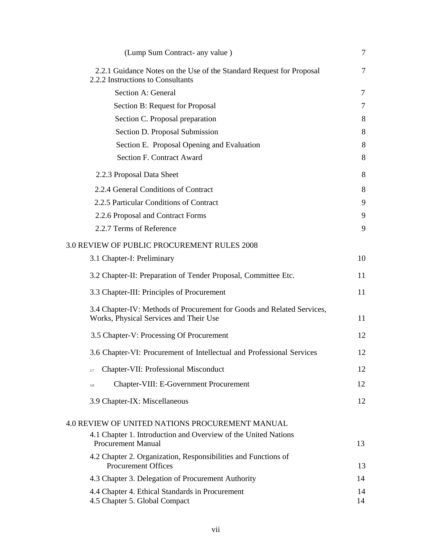| (Lump Sum Contract- any value)                                                                                   | 7        |
|------------------------------------------------------------------------------------------------------------------|----------|
| 2.2.1 Guidance Notes on the Use of the Standard Request for Proposal<br>2.2.2 Instructions to Consultants        | 7        |
| Section A: General                                                                                               | 7        |
| Section B: Request for Proposal                                                                                  | 7        |
| Section C. Proposal preparation                                                                                  | 8        |
| Section D. Proposal Submission                                                                                   | 8        |
| Section E. Proposal Opening and Evaluation                                                                       | 8        |
| <b>Section F. Contract Award</b>                                                                                 | 8        |
| 2.2.3 Proposal Data Sheet                                                                                        | 8        |
| 2.2.4 General Conditions of Contract                                                                             | 8        |
| 2.2.5 Particular Conditions of Contract                                                                          | 9        |
| 2.2.6 Proposal and Contract Forms                                                                                | 9        |
| 2.2.7 Terms of Reference                                                                                         | 9        |
| 3.0 REVIEW OF PUBLIC PROCUREMENT RULES 2008                                                                      |          |
| 3.1 Chapter-I: Preliminary                                                                                       | 10       |
| 3.2 Chapter-II: Preparation of Tender Proposal, Committee Etc.                                                   | 11       |
| 3.3 Chapter-III: Principles of Procurement                                                                       | 11       |
| 3.4 Chapter-IV: Methods of Procurement for Goods and Related Services,<br>Works, Physical Services and Their Use | 11       |
| 3.5 Chapter-V: Processing Of Procurement                                                                         | 12       |
| 3.6 Chapter-VI: Procurement of Intellectual and Professional Services                                            | 12       |
| Chapter-VII: Professional Misconduct<br>3.7                                                                      | 12       |
| Chapter-VIII: E-Government Procurement<br>3.8                                                                    | 12       |
| 3.9 Chapter-IX: Miscellaneous                                                                                    | 12       |
| 4.0 REVIEW OF UNITED NATIONS PROCUREMENT MANUAL                                                                  |          |
| 4.1 Chapter 1. Introduction and Overview of the United Nations                                                   |          |
| <b>Procurement Manual</b>                                                                                        | 13       |
| 4.2 Chapter 2. Organization, Responsibilities and Functions of<br><b>Procurement Offices</b>                     | 13       |
| 4.3 Chapter 3. Delegation of Procurement Authority                                                               | 14       |
| 4.4 Chapter 4. Ethical Standards in Procurement<br>4.5 Chapter 5. Global Compact                                 | 14<br>14 |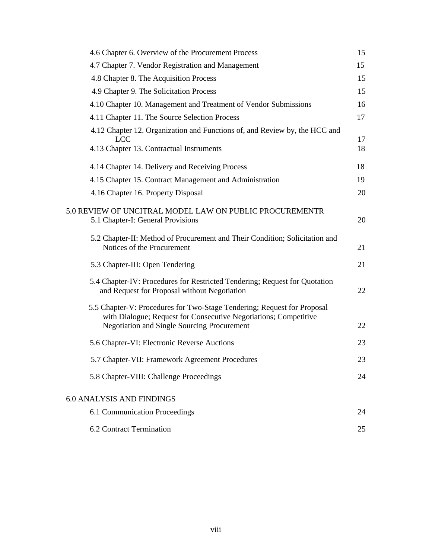| 4.6 Chapter 6. Overview of the Procurement Process                                                                                                                                                | 15       |
|---------------------------------------------------------------------------------------------------------------------------------------------------------------------------------------------------|----------|
| 4.7 Chapter 7. Vendor Registration and Management                                                                                                                                                 | 15       |
| 4.8 Chapter 8. The Acquisition Process                                                                                                                                                            | 15       |
| 4.9 Chapter 9. The Solicitation Process                                                                                                                                                           | 15       |
| 4.10 Chapter 10. Management and Treatment of Vendor Submissions                                                                                                                                   | 16       |
| 4.11 Chapter 11. The Source Selection Process                                                                                                                                                     | 17       |
| 4.12 Chapter 12. Organization and Functions of, and Review by, the HCC and                                                                                                                        |          |
| <b>LCC</b><br>4.13 Chapter 13. Contractual Instruments                                                                                                                                            | 17<br>18 |
| 4.14 Chapter 14. Delivery and Receiving Process                                                                                                                                                   | 18       |
| 4.15 Chapter 15. Contract Management and Administration                                                                                                                                           | 19       |
| 4.16 Chapter 16. Property Disposal                                                                                                                                                                | 20       |
| 5.0 REVIEW OF UNCITRAL MODEL LAW ON PUBLIC PROCUREMENTR<br>5.1 Chapter-I: General Provisions                                                                                                      | 20       |
| 5.2 Chapter-II: Method of Procurement and Their Condition; Solicitation and<br>Notices of the Procurement                                                                                         | 21       |
| 5.3 Chapter-III: Open Tendering                                                                                                                                                                   | 21       |
| 5.4 Chapter-IV: Procedures for Restricted Tendering; Request for Quotation<br>and Request for Proposal without Negotiation                                                                        | 22       |
| 5.5 Chapter-V: Procedures for Two-Stage Tendering; Request for Proposal<br>with Dialogue; Request for Consecutive Negotiations; Competitive<br><b>Negotiation and Single Sourcing Procurement</b> | 22       |
| 5.6 Chapter-VI: Electronic Reverse Auctions                                                                                                                                                       | 23       |
| 5.7 Chapter-VII: Framework Agreement Procedures                                                                                                                                                   | 23       |
| 5.8 Chapter-VIII: Challenge Proceedings                                                                                                                                                           | 24       |
| 6.0 ANALYSIS AND FINDINGS                                                                                                                                                                         |          |
| 6.1 Communication Proceedings                                                                                                                                                                     | 24       |
| 6.2 Contract Termination                                                                                                                                                                          | 25       |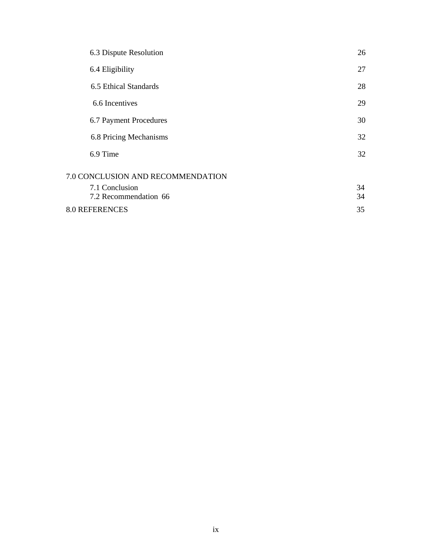| 6.3 Dispute Resolution            | 26 |
|-----------------------------------|----|
| 6.4 Eligibility                   | 27 |
| 6.5 Ethical Standards             | 28 |
| 6.6 Incentives                    | 29 |
| 6.7 Payment Procedures            | 30 |
| 6.8 Pricing Mechanisms            | 32 |
| 6.9 Time                          | 32 |
| 7.0 CONCLUSION AND RECOMMENDATION |    |
| 7.1 Conclusion                    | 34 |
| 7.2 Recommendation 66             | 34 |
| <b>8.0 REFERENCES</b>             | 35 |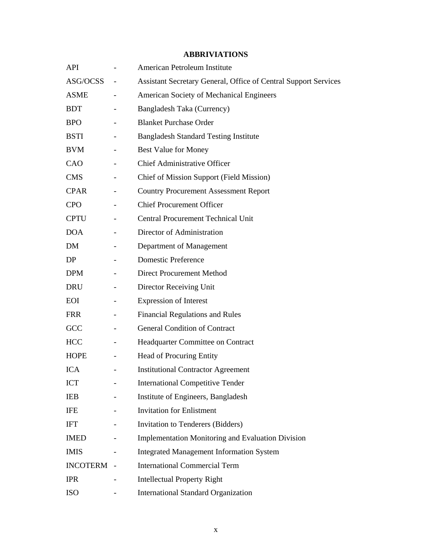| API             |                          | American Petroleum Institute                                           |  |
|-----------------|--------------------------|------------------------------------------------------------------------|--|
| ASG/OCSS        |                          | <b>Assistant Secretary General, Office of Central Support Services</b> |  |
| <b>ASME</b>     |                          | American Society of Mechanical Engineers                               |  |
| <b>BDT</b>      |                          | Bangladesh Taka (Currency)                                             |  |
| <b>BPO</b>      | $\overline{\phantom{a}}$ | <b>Blanket Purchase Order</b>                                          |  |
| <b>BSTI</b>     |                          | <b>Bangladesh Standard Testing Institute</b>                           |  |
| <b>BVM</b>      |                          | <b>Best Value for Money</b>                                            |  |
| CAO             |                          | <b>Chief Administrative Officer</b>                                    |  |
| <b>CMS</b>      |                          | <b>Chief of Mission Support (Field Mission)</b>                        |  |
| <b>CPAR</b>     |                          | <b>Country Procurement Assessment Report</b>                           |  |
| <b>CPO</b>      |                          | <b>Chief Procurement Officer</b>                                       |  |
| <b>CPTU</b>     |                          | <b>Central Procurement Technical Unit</b>                              |  |
| <b>DOA</b>      |                          | Director of Administration                                             |  |
| DM              |                          | Department of Management                                               |  |
| DP              |                          | <b>Domestic Preference</b>                                             |  |
| <b>DPM</b>      |                          | <b>Direct Procurement Method</b>                                       |  |
| <b>DRU</b>      |                          | Director Receiving Unit                                                |  |
| EOI             |                          | <b>Expression of Interest</b>                                          |  |
| <b>FRR</b>      |                          | <b>Financial Regulations and Rules</b>                                 |  |
| GCC             |                          | <b>General Condition of Contract</b>                                   |  |
| <b>HCC</b>      | $\overline{\phantom{a}}$ | Headquarter Committee on Contract                                      |  |
| <b>HOPE</b>     |                          | Head of Procuring Entity                                               |  |
| <b>ICA</b>      |                          | <b>Institutional Contractor Agreement</b>                              |  |
| <b>ICT</b>      |                          | <b>International Competitive Tender</b>                                |  |
| <b>IEB</b>      |                          | Institute of Engineers, Bangladesh                                     |  |
| IFE             |                          | <b>Invitation for Enlistment</b>                                       |  |
| <b>IFT</b>      |                          | Invitation to Tenderers (Bidders)                                      |  |
| <b>IMED</b>     |                          | <b>Implementation Monitoring and Evaluation Division</b>               |  |
| <b>IMIS</b>     |                          | <b>Integrated Management Information System</b>                        |  |
| <b>INCOTERM</b> |                          | <b>International Commercial Term</b>                                   |  |
| <b>IPR</b>      |                          | <b>Intellectual Property Right</b>                                     |  |
| <b>ISO</b>      |                          | <b>International Standard Organization</b>                             |  |

# **ABBRIVIATIONS**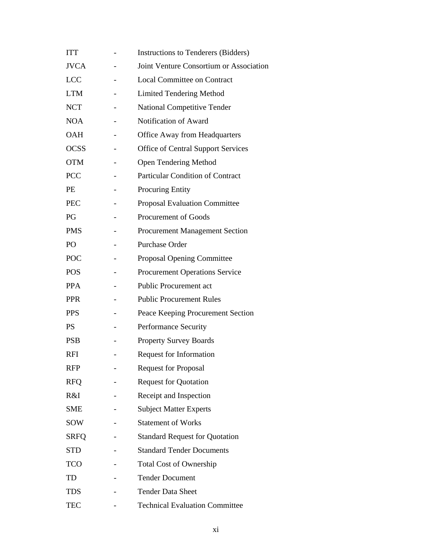| <b>ITT</b>  | Instructions to Tenderers (Bidders)       |  |  |
|-------------|-------------------------------------------|--|--|
| <b>JVCA</b> | Joint Venture Consortium or Association   |  |  |
| <b>LCC</b>  | <b>Local Committee on Contract</b>        |  |  |
| <b>LTM</b>  | <b>Limited Tendering Method</b>           |  |  |
| <b>NCT</b>  | <b>National Competitive Tender</b>        |  |  |
| <b>NOA</b>  | Notification of Award                     |  |  |
| <b>OAH</b>  | <b>Office Away from Headquarters</b>      |  |  |
| <b>OCSS</b> | <b>Office of Central Support Services</b> |  |  |
| <b>OTM</b>  | <b>Open Tendering Method</b>              |  |  |
| <b>PCC</b>  | <b>Particular Condition of Contract</b>   |  |  |
| PE          | <b>Procuring Entity</b>                   |  |  |
| <b>PEC</b>  | <b>Proposal Evaluation Committee</b>      |  |  |
| PG          | Procurement of Goods                      |  |  |
| <b>PMS</b>  | <b>Procurement Management Section</b>     |  |  |
| PO          | Purchase Order                            |  |  |
| POC         | Proposal Opening Committee                |  |  |
| <b>POS</b>  | <b>Procurement Operations Service</b>     |  |  |
| <b>PPA</b>  | <b>Public Procurement act</b>             |  |  |
| <b>PPR</b>  | <b>Public Procurement Rules</b>           |  |  |
| <b>PPS</b>  | Peace Keeping Procurement Section         |  |  |
| <b>PS</b>   | Performance Security                      |  |  |
| <b>PSB</b>  | <b>Property Survey Boards</b>             |  |  |
| RFI         | <b>Request for Information</b>            |  |  |
| <b>RFP</b>  | <b>Request for Proposal</b>               |  |  |
| <b>RFQ</b>  | <b>Request for Quotation</b>              |  |  |
| R&I         | Receipt and Inspection                    |  |  |
| <b>SME</b>  | <b>Subject Matter Experts</b>             |  |  |
| <b>SOW</b>  | <b>Statement of Works</b>                 |  |  |
| <b>SRFQ</b> | <b>Standard Request for Quotation</b>     |  |  |
| <b>STD</b>  | <b>Standard Tender Documents</b>          |  |  |
| <b>TCO</b>  | <b>Total Cost of Ownership</b>            |  |  |
| TD          | <b>Tender Document</b>                    |  |  |
| <b>TDS</b>  | <b>Tender Data Sheet</b>                  |  |  |
| <b>TEC</b>  | <b>Technical Evaluation Committee</b>     |  |  |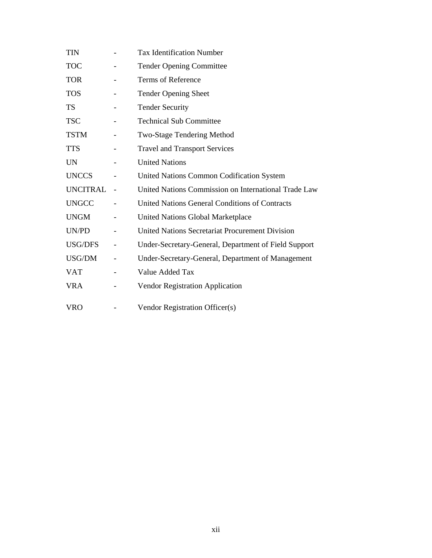| <b>TIN</b>   | <b>Tax Identification Number</b>                      |  |  |
|--------------|-------------------------------------------------------|--|--|
| <b>TOC</b>   | <b>Tender Opening Committee</b>                       |  |  |
| <b>TOR</b>   | Terms of Reference                                    |  |  |
| <b>TOS</b>   | <b>Tender Opening Sheet</b>                           |  |  |
| TS           | <b>Tender Security</b>                                |  |  |
| <b>TSC</b>   | <b>Technical Sub Committee</b>                        |  |  |
| <b>TSTM</b>  | Two-Stage Tendering Method                            |  |  |
| <b>TTS</b>   | <b>Travel and Transport Services</b>                  |  |  |
| <b>UN</b>    | <b>United Nations</b>                                 |  |  |
| <b>UNCCS</b> | United Nations Common Codification System             |  |  |
| UNCITRAL     | United Nations Commission on International Trade Law  |  |  |
| <b>UNGCC</b> | <b>United Nations General Conditions of Contracts</b> |  |  |
| <b>UNGM</b>  | United Nations Global Marketplace                     |  |  |
| UN/PD        | United Nations Secretariat Procurement Division       |  |  |
| USG/DFS      | Under-Secretary-General, Department of Field Support  |  |  |
| USG/DM       | Under-Secretary-General, Department of Management     |  |  |
| <b>VAT</b>   | Value Added Tax                                       |  |  |
| <b>VRA</b>   | <b>Vendor Registration Application</b>                |  |  |
| <b>VRO</b>   | Vendor Registration Officer(s)                        |  |  |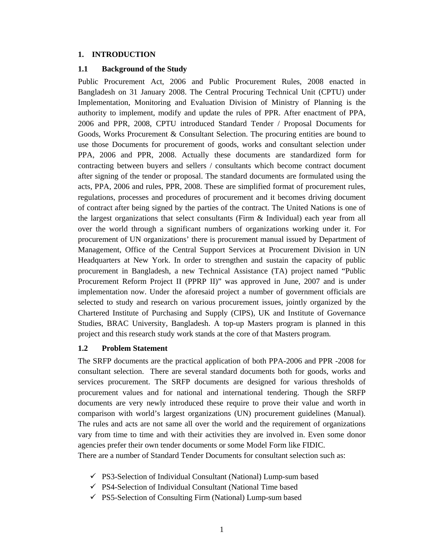#### **1. INTRODUCTION**

### **1.1 Background of the Study**

Public Procurement Act, 2006 and Public Procurement Rules, 2008 enacted in Bangladesh on 31 January 2008. The Central Procuring Technical Unit (CPTU) under Implementation, Monitoring and Evaluation Division of Ministry of Planning is the authority to implement, modify and update the rules of PPR. After enactment of PPA, 2006 and PPR, 2008, CPTU introduced Standard Tender / Proposal Documents for Goods, Works Procurement & Consultant Selection. The procuring entities are bound to use those Documents for procurement of goods, works and consultant selection under PPA, 2006 and PPR, 2008. Actually these documents are standardized form for contracting between buyers and sellers / consultants which become contract document after signing of the tender or proposal. The standard documents are formulated using the acts, PPA, 2006 and rules, PPR, 2008. These are simplified format of procurement rules, regulations, processes and procedures of procurement and it becomes driving document of contract after being signed by the parties of the contract. The United Nations is one of the largest organizations that select consultants (Firm  $\&$  Individual) each year from all over the world through a significant numbers of organizations working under it. For procurement of UN organizations' there is procurement manual issued by Department of Management, Office of the Central Support Services at Procurement Division in UN Headquarters at New York. In order to strengthen and sustain the capacity of public procurement in Bangladesh, a new Technical Assistance (TA) project named "Public Procurement Reform Project II (PPRP II)" was approved in June, 2007 and is under implementation now. Under the aforesaid project a number of government officials are selected to study and research on various procurement issues, jointly organized by the Chartered Institute of Purchasing and Supply (CIPS), UK and Institute of Governance Studies, BRAC University, Bangladesh. A top-up Masters program is planned in this project and this research study work stands at the core of that Masters program.

### **1.2 Problem Statement**

The SRFP documents are the practical application of both PPA-2006 and PPR -2008 for consultant selection. There are several standard documents both for goods, works and services procurement. The SRFP documents are designed for various thresholds of procurement values and for national and international tendering. Though the SRFP documents are very newly introduced these require to prove their value and worth in comparison with world's largest organizations (UN) procurement guidelines (Manual). The rules and acts are not same all over the world and the requirement of organizations vary from time to time and with their activities they are involved in. Even some donor agencies prefer their own tender documents or some Model Form like FIDIC. There are a number of Standard Tender Documents for consultant selection such as:

- $\checkmark$  PS3-Selection of Individual Consultant (National) Lump-sum based
- $\checkmark$  PS4-Selection of Individual Consultant (National Time based
- $\checkmark$  PS5-Selection of Consulting Firm (National) Lump-sum based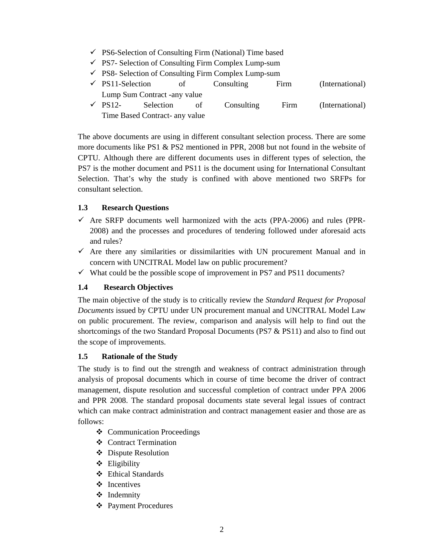- $\checkmark$  PS6-Selection of Consulting Firm (National) Time based
- $\checkmark$  PS7- Selection of Consulting Firm Complex Lump-sum
- $\checkmark$  PS8- Selection of Consulting Firm Complex Lump-sum
- $\checkmark$  PS11-Selection of Consulting Firm (International) Lump Sum Contract -any value
- $\checkmark$  PS12- Selection of Consulting Firm (International) Time Based Contract- any value

The above documents are using in different consultant selection process. There are some more documents like PS1 & PS2 mentioned in PPR, 2008 but not found in the website of CPTU. Although there are different documents uses in different types of selection, the PS7 is the mother document and PS11 is the document using for International Consultant Selection. That's why the study is confined with above mentioned two SRFPs for consultant selection.

# **1.3 Research Questions**

- $\checkmark$  Are SRFP documents well harmonized with the acts (PPA-2006) and rules (PPR-2008) and the processes and procedures of tendering followed under aforesaid acts and rules?
- $\checkmark$  Are there any similarities or dissimilarities with UN procurement Manual and in concern with UNCITRAL Model law on public procurement?
- $\checkmark$  What could be the possible scope of improvement in PS7 and PS11 documents?

# **1.4 Research Objectives**

The main objective of the study is to critically review the *Standard Request for Proposal Documents* issued by CPTU under UN procurement manual and UNCITRAL Model Law on public procurement. The review, comparison and analysis will help to find out the shortcomings of the two Standard Proposal Documents (PS7 & PS11) and also to find out the scope of improvements.

# **1.5 Rationale of the Study**

The study is to find out the strength and weakness of contract administration through analysis of proposal documents which in course of time become the driver of contract management, dispute resolution and successful completion of contract under PPA 2006 and PPR 2008. The standard proposal documents state several legal issues of contract which can make contract administration and contract management easier and those are as follows:

- Communication Proceedings
- ❖ Contract Termination
- Dispute Resolution
- $\triangleleft$  Eligibility
- Ethical Standards
- ❖ Incentives
- ❖ Indemnity
- Payment Procedures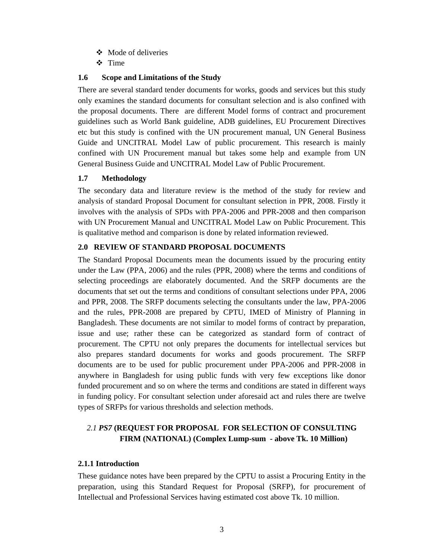- ❖ Mode of deliveries
- **❖** Time

# **1.6 Scope and Limitations of the Study**

There are several standard tender documents for works, goods and services but this study only examines the standard documents for consultant selection and is also confined with the proposal documents. There are different Model forms of contract and procurement guidelines such as World Bank guideline, ADB guidelines, EU Procurement Directives etc but this study is confined with the UN procurement manual, UN General Business Guide and UNCITRAL Model Law of public procurement. This research is mainly confined with UN Procurement manual but takes some help and example from UN General Business Guide and UNCITRAL Model Law of Public Procurement.

# **1.7 Methodology**

The secondary data and literature review is the method of the study for review and analysis of standard Proposal Document for consultant selection in PPR, 2008. Firstly it involves with the analysis of SPDs with PPA-2006 and PPR-2008 and then comparison with UN Procurement Manual and UNCITRAL Model Law on Public Procurement. This is qualitative method and comparison is done by related information reviewed.

# **2.0 REVIEW OF STANDARD PROPOSAL DOCUMENTS**

The Standard Proposal Documents mean the documents issued by the procuring entity under the Law (PPA, 2006) and the rules (PPR, 2008) where the terms and conditions of selecting proceedings are elaborately documented. And the SRFP documents are the documents that set out the terms and conditions of consultant selections under PPA, 2006 and PPR, 2008. The SRFP documents selecting the consultants under the law, PPA-2006 and the rules, PPR-2008 are prepared by CPTU, IMED of Ministry of Planning in Bangladesh. These documents are not similar to model forms of contract by preparation, issue and use; rather these can be categorized as standard form of contract of procurement. The CPTU not only prepares the documents for intellectual services but also prepares standard documents for works and goods procurement. The SRFP documents are to be used for public procurement under PPA-2006 and PPR-2008 in anywhere in Bangladesh for using public funds with very few exceptions like donor funded procurement and so on where the terms and conditions are stated in different ways in funding policy. For consultant selection under aforesaid act and rules there are twelve types of SRFPs for various thresholds and selection methods.

# *2.1 PS7* **(REQUEST FOR PROPOSAL FOR SELECTION OF CONSULTING FIRM (NATIONAL) (Complex Lump-sum - above Tk. 10 Million)**

# **2.1.1 Introduction**

These guidance notes have been prepared by the CPTU to assist a Procuring Entity in the preparation, using this Standard Request for Proposal (SRFP), for procurement of Intellectual and Professional Services having estimated cost above Tk. 10 million.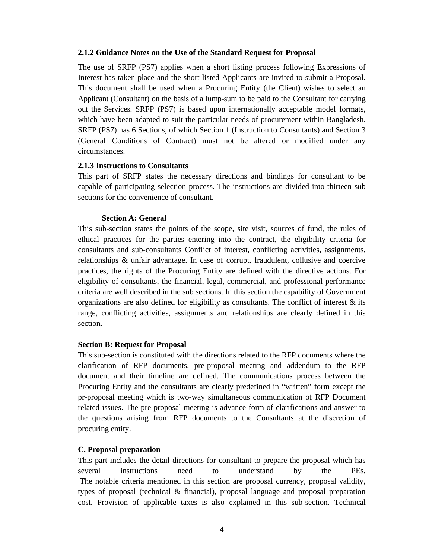#### **2.1.2 Guidance Notes on the Use of the Standard Request for Proposal**

The use of SRFP (PS7) applies when a short listing process following Expressions of Interest has taken place and the short-listed Applicants are invited to submit a Proposal. This document shall be used when a Procuring Entity (the Client) wishes to select an Applicant (Consultant) on the basis of a lump-sum to be paid to the Consultant for carrying out the Services. SRFP (PS7) is based upon internationally acceptable model formats, which have been adapted to suit the particular needs of procurement within Bangladesh. SRFP (PS7) has 6 Sections, of which Section 1 (Instruction to Consultants) and Section 3 (General Conditions of Contract) must not be altered or modified under any circumstances.

#### **2.1.3 Instructions to Consultants**

This part of SRFP states the necessary directions and bindings for consultant to be capable of participating selection process. The instructions are divided into thirteen sub sections for the convenience of consultant.

#### **Section A: General**

This sub-section states the points of the scope, site visit, sources of fund, the rules of ethical practices for the parties entering into the contract, the eligibility criteria for consultants and sub-consultants Conflict of interest, conflicting activities, assignments, relationships & unfair advantage. In case of corrupt, fraudulent, collusive and coercive practices, the rights of the Procuring Entity are defined with the directive actions. For eligibility of consultants, the financial, legal, commercial, and professional performance criteria are well described in the sub sections. In this section the capability of Government organizations are also defined for eligibility as consultants. The conflict of interest  $\&$  its range, conflicting activities, assignments and relationships are clearly defined in this section.

#### **Section B: Request for Proposal**

This sub-section is constituted with the directions related to the RFP documents where the clarification of RFP documents, pre-proposal meeting and addendum to the RFP document and their timeline are defined. The communications process between the Procuring Entity and the consultants are clearly predefined in "written" form except the pr-proposal meeting which is two-way simultaneous communication of RFP Document related issues. The pre-proposal meeting is advance form of clarifications and answer to the questions arising from RFP documents to the Consultants at the discretion of procuring entity.

### **C. Proposal preparation**

This part includes the detail directions for consultant to prepare the proposal which has several instructions need to understand by the PEs. The notable criteria mentioned in this section are proposal currency, proposal validity, types of proposal (technical & financial), proposal language and proposal preparation cost. Provision of applicable taxes is also explained in this sub-section. Technical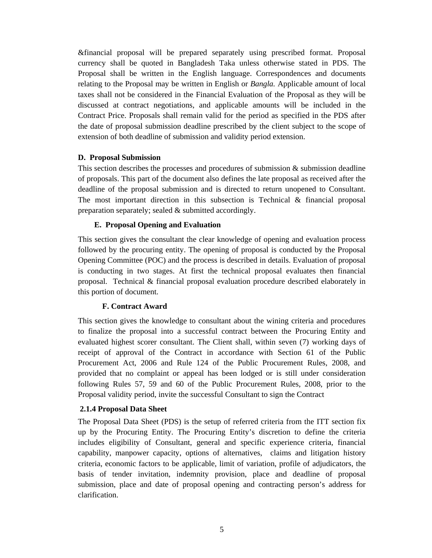&financial proposal will be prepared separately using prescribed format. Proposal currency shall be quoted in Bangladesh Taka unless otherwise stated in PDS. The Proposal shall be written in the English language. Correspondences and documents relating to the Proposal may be written in English or *Bangla.* Applicable amount of local taxes shall not be considered in the Financial Evaluation of the Proposal as they will be discussed at contract negotiations, and applicable amounts will be included in the Contract Price. Proposals shall remain valid for the period as specified in the PDS after the date of proposal submission deadline prescribed by the client subject to the scope of extension of both deadline of submission and validity period extension.

### **D. Proposal Submission**

This section describes the processes and procedures of submission  $\&$  submission deadline of proposals. This part of the document also defines the late proposal as received after the deadline of the proposal submission and is directed to return unopened to Consultant. The most important direction in this subsection is Technical & financial proposal preparation separately; sealed & submitted accordingly.

### **E. Proposal Opening and Evaluation**

This section gives the consultant the clear knowledge of opening and evaluation process followed by the procuring entity. The opening of proposal is conducted by the Proposal Opening Committee (POC) and the process is described in details. Evaluation of proposal is conducting in two stages. At first the technical proposal evaluates then financial proposal. Technical & financial proposal evaluation procedure described elaborately in this portion of document.

# **F. Contract Award**

This section gives the knowledge to consultant about the wining criteria and procedures to finalize the proposal into a successful contract between the Procuring Entity and evaluated highest scorer consultant. The Client shall, within seven (7) working days of receipt of approval of the Contract in accordance with Section 61 of the Public Procurement Act, 2006 and Rule 124 of the Public Procurement Rules, 2008, and provided that no complaint or appeal has been lodged or is still under consideration following Rules 57, 59 and 60 of the Public Procurement Rules, 2008, prior to the Proposal validity period, invite the successful Consultant to sign the Contract

# **2.1.4 Proposal Data Sheet**

The Proposal Data Sheet (PDS) is the setup of referred criteria from the ITT section fix up by the Procuring Entity. The Procuring Entity's discretion to define the criteria includes eligibility of Consultant, general and specific experience criteria, financial capability, manpower capacity, options of alternatives, claims and litigation history criteria, economic factors to be applicable, limit of variation, profile of adjudicators, the basis of tender invitation, indemnity provision, place and deadline of proposal submission, place and date of proposal opening and contracting person's address for clarification.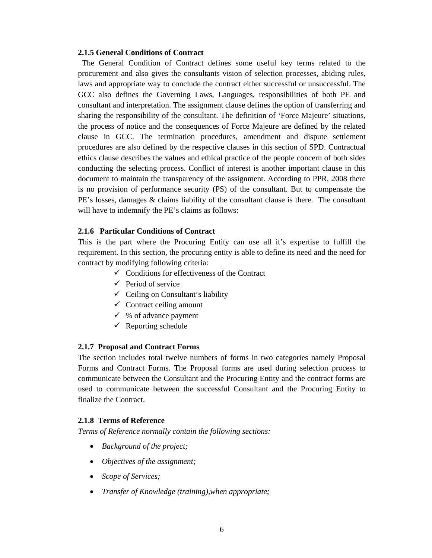#### **2.1.5 General Conditions of Contract**

 The General Condition of Contract defines some useful key terms related to the procurement and also gives the consultants vision of selection processes, abiding rules, laws and appropriate way to conclude the contract either successful or unsuccessful. The GCC also defines the Governing Laws, Languages, responsibilities of both PE and consultant and interpretation. The assignment clause defines the option of transferring and sharing the responsibility of the consultant. The definition of 'Force Majeure' situations, the process of notice and the consequences of Force Majeure are defined by the related clause in GCC. The termination procedures, amendment and dispute settlement procedures are also defined by the respective clauses in this section of SPD. Contractual ethics clause describes the values and ethical practice of the people concern of both sides conducting the selecting process. Conflict of interest is another important clause in this document to maintain the transparency of the assignment. According to PPR, 2008 there is no provision of performance security (PS) of the consultant. But to compensate the PE's losses, damages & claims liability of the consultant clause is there. The consultant will have to indemnify the PE's claims as follows:

#### **2.1.6 Particular Conditions of Contract**

This is the part where the Procuring Entity can use all it's expertise to fulfill the requirement. In this section, the procuring entity is able to define its need and the need for contract by modifying following criteria:

- $\checkmark$  Conditions for effectiveness of the Contract
- $\checkmark$  Period of service
- $\checkmark$  Ceiling on Consultant's liability
- $\checkmark$  Contract ceiling amount
- $\checkmark$  % of advance payment
- $\checkmark$  Reporting schedule

#### **2.1.7 Proposal and Contract Forms**

The section includes total twelve numbers of forms in two categories namely Proposal Forms and Contract Forms. The Proposal forms are used during selection process to communicate between the Consultant and the Procuring Entity and the contract forms are used to communicate between the successful Consultant and the Procuring Entity to finalize the Contract.

#### **2.1.8 Terms of Reference**

*Terms of Reference normally contain the following sections:* 

- *Background of the project;*
- *Objectives of the assignment;*
- *Scope of Services;*
- *Transfer of Knowledge (training),when appropriate;*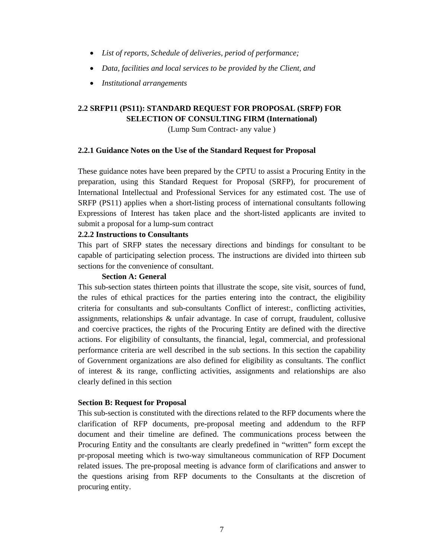- *List of reports, Schedule of deliveries, period of performance;*
- *Data, facilities and local services to be provided by the Client, and*
- *Institutional arrangements*

# **2.2 SRFP11 (PS11): STANDARD REQUEST FOR PROPOSAL (SRFP) FOR SELECTION OF CONSULTING FIRM (International)**

(Lump Sum Contract- any value )

#### **2.2.1 Guidance Notes on the Use of the Standard Request for Proposal**

These guidance notes have been prepared by the CPTU to assist a Procuring Entity in the preparation, using this Standard Request for Proposal (SRFP), for procurement of International Intellectual and Professional Services for any estimated cost. The use of SRFP (PS11) applies when a short-listing process of international consultants following Expressions of Interest has taken place and the short-listed applicants are invited to submit a proposal for a lump-sum contract

#### **2.2.2 Instructions to Consultants**

This part of SRFP states the necessary directions and bindings for consultant to be capable of participating selection process. The instructions are divided into thirteen sub sections for the convenience of consultant.

#### **Section A: General**

This sub-section states thirteen points that illustrate the scope, site visit, sources of fund, the rules of ethical practices for the parties entering into the contract, the eligibility criteria for consultants and sub-consultants Conflict of interest:, conflicting activities, assignments, relationships & unfair advantage. In case of corrupt, fraudulent, collusive and coercive practices, the rights of the Procuring Entity are defined with the directive actions. For eligibility of consultants, the financial, legal, commercial, and professional performance criteria are well described in the sub sections. In this section the capability of Government organizations are also defined for eligibility as consultants. The conflict of interest  $\&$  its range, conflicting activities, assignments and relationships are also clearly defined in this section

#### **Section B: Request for Proposal**

This sub-section is constituted with the directions related to the RFP documents where the clarification of RFP documents, pre-proposal meeting and addendum to the RFP document and their timeline are defined. The communications process between the Procuring Entity and the consultants are clearly predefined in "written" form except the pr-proposal meeting which is two-way simultaneous communication of RFP Document related issues. The pre-proposal meeting is advance form of clarifications and answer to the questions arising from RFP documents to the Consultants at the discretion of procuring entity.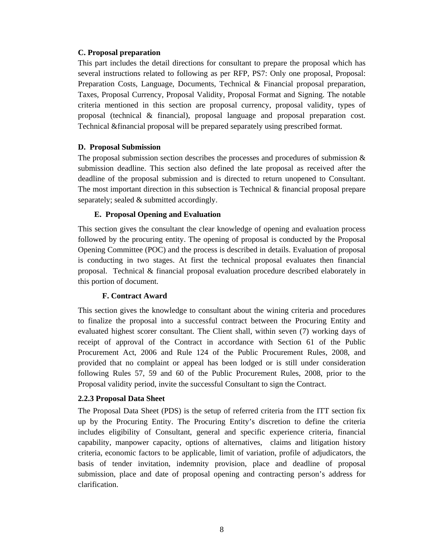### **C. Proposal preparation**

This part includes the detail directions for consultant to prepare the proposal which has several instructions related to following as per RFP, PS7: Only one proposal, Proposal: Preparation Costs, Language, Documents, Technical & Financial proposal preparation, Taxes, Proposal Currency, Proposal Validity, Proposal Format and Signing. The notable criteria mentioned in this section are proposal currency, proposal validity, types of proposal (technical & financial), proposal language and proposal preparation cost. Technical &financial proposal will be prepared separately using prescribed format.

### **D. Proposal Submission**

The proposal submission section describes the processes and procedures of submission  $\&$ submission deadline. This section also defined the late proposal as received after the deadline of the proposal submission and is directed to return unopened to Consultant. The most important direction in this subsection is Technical  $\&$  financial proposal prepare separately; sealed & submitted accordingly.

### **E. Proposal Opening and Evaluation**

This section gives the consultant the clear knowledge of opening and evaluation process followed by the procuring entity. The opening of proposal is conducted by the Proposal Opening Committee (POC) and the process is described in details. Evaluation of proposal is conducting in two stages. At first the technical proposal evaluates then financial proposal. Technical & financial proposal evaluation procedure described elaborately in this portion of document.

# **F. Contract Award**

This section gives the knowledge to consultant about the wining criteria and procedures to finalize the proposal into a successful contract between the Procuring Entity and evaluated highest scorer consultant. The Client shall, within seven (7) working days of receipt of approval of the Contract in accordance with Section 61 of the Public Procurement Act, 2006 and Rule 124 of the Public Procurement Rules, 2008, and provided that no complaint or appeal has been lodged or is still under consideration following Rules 57, 59 and 60 of the Public Procurement Rules, 2008, prior to the Proposal validity period, invite the successful Consultant to sign the Contract.

### **2.2.3 Proposal Data Sheet**

The Proposal Data Sheet (PDS) is the setup of referred criteria from the ITT section fix up by the Procuring Entity. The Procuring Entity's discretion to define the criteria includes eligibility of Consultant, general and specific experience criteria, financial capability, manpower capacity, options of alternatives, claims and litigation history criteria, economic factors to be applicable, limit of variation, profile of adjudicators, the basis of tender invitation, indemnity provision, place and deadline of proposal submission, place and date of proposal opening and contracting person's address for clarification.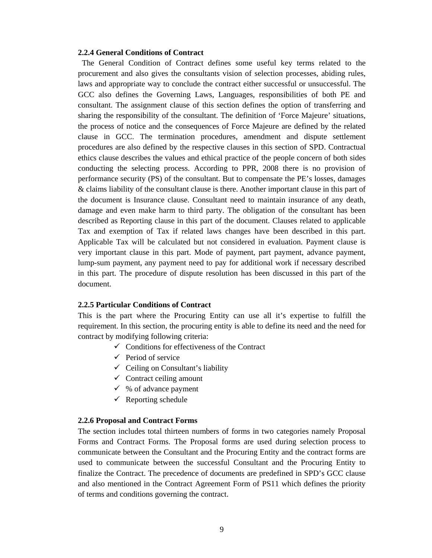#### **2.2.4 General Conditions of Contract**

 The General Condition of Contract defines some useful key terms related to the procurement and also gives the consultants vision of selection processes, abiding rules, laws and appropriate way to conclude the contract either successful or unsuccessful. The GCC also defines the Governing Laws, Languages, responsibilities of both PE and consultant. The assignment clause of this section defines the option of transferring and sharing the responsibility of the consultant. The definition of 'Force Majeure' situations, the process of notice and the consequences of Force Majeure are defined by the related clause in GCC. The termination procedures, amendment and dispute settlement procedures are also defined by the respective clauses in this section of SPD. Contractual ethics clause describes the values and ethical practice of the people concern of both sides conducting the selecting process. According to PPR, 2008 there is no provision of performance security (PS) of the consultant. But to compensate the PE's losses, damages & claims liability of the consultant clause is there. Another important clause in this part of the document is Insurance clause. Consultant need to maintain insurance of any death, damage and even make harm to third party. The obligation of the consultant has been described as Reporting clause in this part of the document. Clauses related to applicable Tax and exemption of Tax if related laws changes have been described in this part. Applicable Tax will be calculated but not considered in evaluation. Payment clause is very important clause in this part. Mode of payment, part payment, advance payment, lump-sum payment, any payment need to pay for additional work if necessary described in this part. The procedure of dispute resolution has been discussed in this part of the document.

#### **2.2.5 Particular Conditions of Contract**

This is the part where the Procuring Entity can use all it's expertise to fulfill the requirement. In this section, the procuring entity is able to define its need and the need for contract by modifying following criteria:

- $\checkmark$  Conditions for effectiveness of the Contract
- $\checkmark$  Period of service
- $\checkmark$  Ceiling on Consultant's liability
- $\checkmark$  Contract ceiling amount
- $\checkmark$  % of advance payment
- $\checkmark$  Reporting schedule

#### **2.2.6 Proposal and Contract Forms**

The section includes total thirteen numbers of forms in two categories namely Proposal Forms and Contract Forms. The Proposal forms are used during selection process to communicate between the Consultant and the Procuring Entity and the contract forms are used to communicate between the successful Consultant and the Procuring Entity to finalize the Contract. The precedence of documents are predefined in SPD's GCC clause and also mentioned in the Contract Agreement Form of PS11 which defines the priority of terms and conditions governing the contract.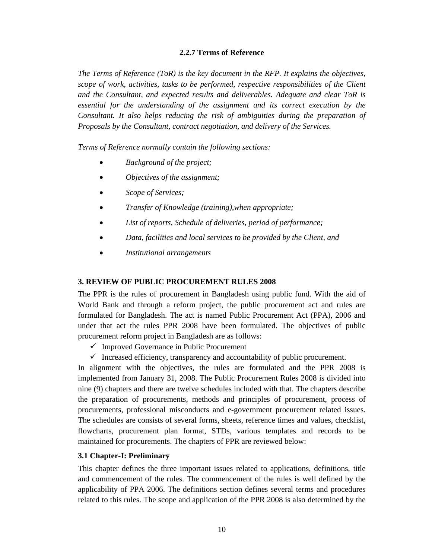### **2.2.7 Terms of Reference**

*The Terms of Reference (ToR) is the key document in the RFP. It explains the objectives, scope of work, activities, tasks to be performed, respective responsibilities of the Client and the Consultant, and expected results and deliverables. Adequate and clear ToR is essential for the understanding of the assignment and its correct execution by the Consultant. It also helps reducing the risk of ambiguities during the preparation of Proposals by the Consultant, contract negotiation, and delivery of the Services.* 

*Terms of Reference normally contain the following sections:* 

- *Background of the project;*
- *Objectives of the assignment;*
- *Scope of Services;*
- *Transfer of Knowledge (training),when appropriate;*
- *List of reports, Schedule of deliveries, period of performance;*
- *Data, facilities and local services to be provided by the Client, and*
- *Institutional arrangements*

#### **3. REVIEW OF PUBLIC PROCUREMENT RULES 2008**

The PPR is the rules of procurement in Bangladesh using public fund. With the aid of World Bank and through a reform project, the public procurement act and rules are formulated for Bangladesh. The act is named Public Procurement Act (PPA), 2006 and under that act the rules PPR 2008 have been formulated. The objectives of public procurement reform project in Bangladesh are as follows:

- $\checkmark$  Improved Governance in Public Procurement
- $\checkmark$  Increased efficiency, transparency and accountability of public procurement.

In alignment with the objectives, the rules are formulated and the PPR 2008 is implemented from January 31, 2008. The Public Procurement Rules 2008 is divided into nine (9) chapters and there are twelve schedules included with that. The chapters describe the preparation of procurements, methods and principles of procurement, process of procurements, professional misconducts and e-government procurement related issues. The schedules are consists of several forms, sheets, reference times and values, checklist, flowcharts, procurement plan format, STDs, various templates and records to be maintained for procurements. The chapters of PPR are reviewed below:

#### **3.1 Chapter-I: Preliminary**

This chapter defines the three important issues related to applications, definitions, title and commencement of the rules. The commencement of the rules is well defined by the applicability of PPA 2006. The definitions section defines several terms and procedures related to this rules. The scope and application of the PPR 2008 is also determined by the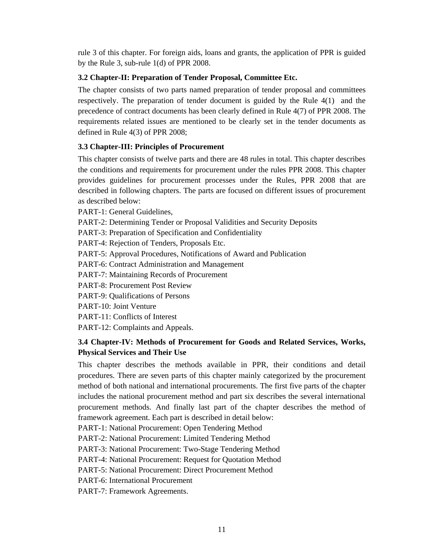rule 3 of this chapter. For foreign aids, loans and grants, the application of PPR is guided by the Rule 3, sub-rule 1(d) of PPR 2008.

# **3.2 Chapter-II: Preparation of Tender Proposal, Committee Etc.**

The chapter consists of two parts named preparation of tender proposal and committees respectively. The preparation of tender document is guided by the Rule 4(1) and the precedence of contract documents has been clearly defined in Rule 4(7) of PPR 2008. The requirements related issues are mentioned to be clearly set in the tender documents as defined in Rule 4(3) of PPR 2008;

# **3.3 Chapter-III: Principles of Procurement**

This chapter consists of twelve parts and there are 48 rules in total. This chapter describes the conditions and requirements for procurement under the rules PPR 2008. This chapter provides guidelines for procurement processes under the Rules, PPR 2008 that are described in following chapters. The parts are focused on different issues of procurement as described below:

PART-1: General Guidelines,

PART-2: Determining Tender or Proposal Validities and Security Deposits

PART-3: Preparation of Specification and Confidentiality

PART-4: Rejection of Tenders, Proposals Etc.

PART-5: Approval Procedures, Notifications of Award and Publication

PART-6: Contract Administration and Management

PART-7: Maintaining Records of Procurement

PART-8: Procurement Post Review

PART-9: Qualifications of Persons

PART-10: Joint Venture

PART-11: Conflicts of Interest

PART-12: Complaints and Appeals.

# **3.4 Chapter-IV: Methods of Procurement for Goods and Related Services, Works, Physical Services and Their Use**

This chapter describes the methods available in PPR, their conditions and detail procedures. There are seven parts of this chapter mainly categorized by the procurement method of both national and international procurements. The first five parts of the chapter includes the national procurement method and part six describes the several international procurement methods. And finally last part of the chapter describes the method of framework agreement. Each part is described in detail below:

PART-1: National Procurement: Open Tendering Method

PART-2: National Procurement: Limited Tendering Method

PART-3: National Procurement: Two-Stage Tendering Method

PART-4: National Procurement: Request for Quotation Method

PART-5: National Procurement: Direct Procurement Method

PART-6: International Procurement

PART-7: Framework Agreements.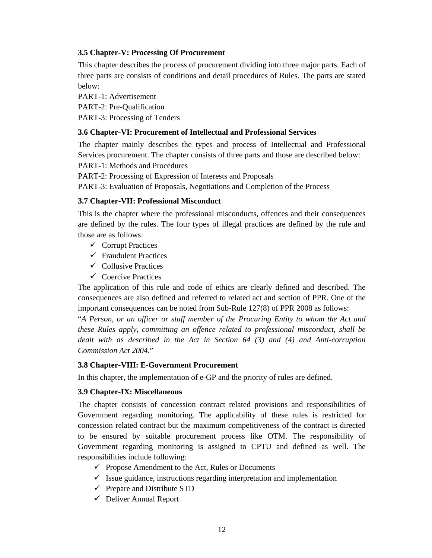# **3.5 Chapter-V: Processing Of Procurement**

This chapter describes the process of procurement dividing into three major parts. Each of three parts are consists of conditions and detail procedures of Rules. The parts are stated below:

PART-1: Advertisement PART-2: Pre-Qualification PART-3: Processing of Tenders

### **3.6 Chapter-VI: Procurement of Intellectual and Professional Services**

The chapter mainly describes the types and process of Intellectual and Professional Services procurement. The chapter consists of three parts and those are described below:

PART-1: Methods and Procedures

PART-2: Processing of Expression of Interests and Proposals

PART-3: Evaluation of Proposals, Negotiations and Completion of the Process

# **3.7 Chapter-VII: Professional Misconduct**

This is the chapter where the professional misconducts, offences and their consequences are defined by the rules. The four types of illegal practices are defined by the rule and those are as follows:

- $\checkmark$  Corrupt Practices
- $\checkmark$  Fraudulent Practices
- $\checkmark$  Collusive Practices
- $\checkmark$  Coercive Practices

The application of this rule and code of ethics are clearly defined and described. The consequences are also defined and referred to related act and section of PPR. One of the important consequences can be noted from Sub-Rule 127(8) of PPR 2008 as follows:

"*A Person, or an officer or staff member of the Procuring Entity to whom the Act and these Rules apply, committing an offence related to professional misconduct, shall be dealt with as described in the Act in Section 64 (3) and (4) and Anti-corruption Commission Act 2004*."

# **3.8 Chapter-VIII: E-Government Procurement**

In this chapter, the implementation of e-GP and the priority of rules are defined.

# **3.9 Chapter-IX: Miscellaneous**

The chapter consists of concession contract related provisions and responsibilities of Government regarding monitoring. The applicability of these rules is restricted for concession related contract but the maximum competitiveness of the contract is directed to be ensured by suitable procurement process like OTM. The responsibility of Government regarding monitoring is assigned to CPTU and defined as well. The responsibilities include following:

- $\checkmark$  Propose Amendment to the Act, Rules or Documents
- $\checkmark$  Issue guidance, instructions regarding interpretation and implementation
- $\checkmark$  Prepare and Distribute STD
- $\checkmark$  Deliver Annual Report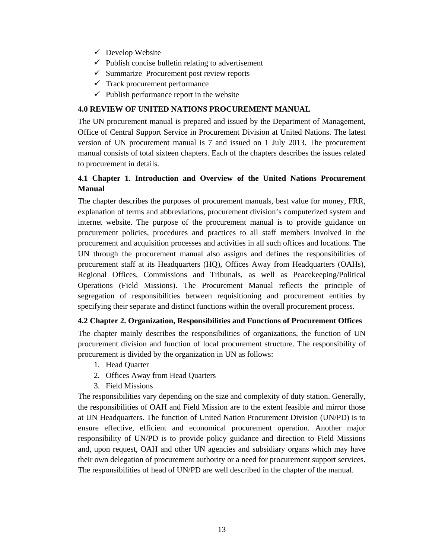- $\checkmark$  Develop Website
- $\checkmark$  Publish concise bulletin relating to advertisement
- $\checkmark$  Summarize Procurement post review reports
- $\checkmark$  Track procurement performance
- $\checkmark$  Publish performance report in the website

# **4.0 REVIEW OF UNITED NATIONS PROCUREMENT MANUAL**

The UN procurement manual is prepared and issued by the Department of Management, Office of Central Support Service in Procurement Division at United Nations. The latest version of UN procurement manual is 7 and issued on 1 July 2013. The procurement manual consists of total sixteen chapters. Each of the chapters describes the issues related to procurement in details.

# **4.1 Chapter 1. Introduction and Overview of the United Nations Procurement Manual**

The chapter describes the purposes of procurement manuals, best value for money, FRR, explanation of terms and abbreviations, procurement division's computerized system and internet website. The purpose of the procurement manual is to provide guidance on procurement policies, procedures and practices to all staff members involved in the procurement and acquisition processes and activities in all such offices and locations. The UN through the procurement manual also assigns and defines the responsibilities of procurement staff at its Headquarters (HQ), Offices Away from Headquarters (OAHs), Regional Offices, Commissions and Tribunals, as well as Peacekeeping/Political Operations (Field Missions). The Procurement Manual reflects the principle of segregation of responsibilities between requisitioning and procurement entities by specifying their separate and distinct functions within the overall procurement process.

### **4.2 Chapter 2. Organization, Responsibilities and Functions of Procurement Offices**

The chapter mainly describes the responsibilities of organizations, the function of UN procurement division and function of local procurement structure. The responsibility of procurement is divided by the organization in UN as follows:

- 1. Head Quarter
- 2. Offices Away from Head Quarters
- 3. Field Missions

The responsibilities vary depending on the size and complexity of duty station. Generally, the responsibilities of OAH and Field Mission are to the extent feasible and mirror those at UN Headquarters. The function of United Nation Procurement Division (UN/PD) is to ensure effective, efficient and economical procurement operation. Another major responsibility of UN/PD is to provide policy guidance and direction to Field Missions and, upon request, OAH and other UN agencies and subsidiary organs which may have their own delegation of procurement authority or a need for procurement support services. The responsibilities of head of UN/PD are well described in the chapter of the manual.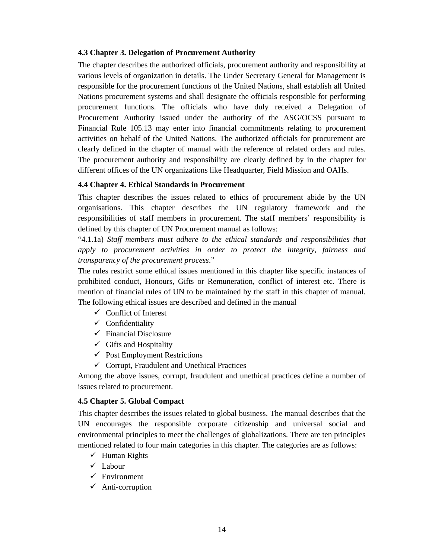### **4.3 Chapter 3. Delegation of Procurement Authority**

The chapter describes the authorized officials, procurement authority and responsibility at various levels of organization in details. The Under Secretary General for Management is responsible for the procurement functions of the United Nations, shall establish all United Nations procurement systems and shall designate the officials responsible for performing procurement functions. The officials who have duly received a Delegation of Procurement Authority issued under the authority of the ASG/OCSS pursuant to Financial Rule 105.13 may enter into financial commitments relating to procurement activities on behalf of the United Nations. The authorized officials for procurement are clearly defined in the chapter of manual with the reference of related orders and rules. The procurement authority and responsibility are clearly defined by in the chapter for different offices of the UN organizations like Headquarter, Field Mission and OAHs.

### **4.4 Chapter 4. Ethical Standards in Procurement**

This chapter describes the issues related to ethics of procurement abide by the UN organisations. This chapter describes the UN regulatory framework and the responsibilities of staff members in procurement. The staff members' responsibility is defined by this chapter of UN Procurement manual as follows:

"4.1.1a) *Staff members must adhere to the ethical standards and responsibilities that apply to procurement activities in order to protect the integrity, fairness and transparency of the procurement process*."

The rules restrict some ethical issues mentioned in this chapter like specific instances of prohibited conduct, Honours, Gifts or Remuneration, conflict of interest etc. There is mention of financial rules of UN to be maintained by the staff in this chapter of manual. The following ethical issues are described and defined in the manual

- $\checkmark$  Conflict of Interest
- $\checkmark$  Confidentiality
- $\checkmark$  Financial Disclosure
- $\checkmark$  Gifts and Hospitality
- $\checkmark$  Post Employment Restrictions
- $\checkmark$  Corrupt, Fraudulent and Unethical Practices

Among the above issues, corrupt, fraudulent and unethical practices define a number of issues related to procurement.

### **4.5 Chapter 5. Global Compact**

This chapter describes the issues related to global business. The manual describes that the UN encourages the responsible corporate citizenship and universal social and environmental principles to meet the challenges of globalizations. There are ten principles mentioned related to four main categories in this chapter. The categories are as follows:

- $\checkmark$  Human Rights
- $\checkmark$  Labour
- $\checkmark$  Environment
- $\checkmark$  Anti-corruption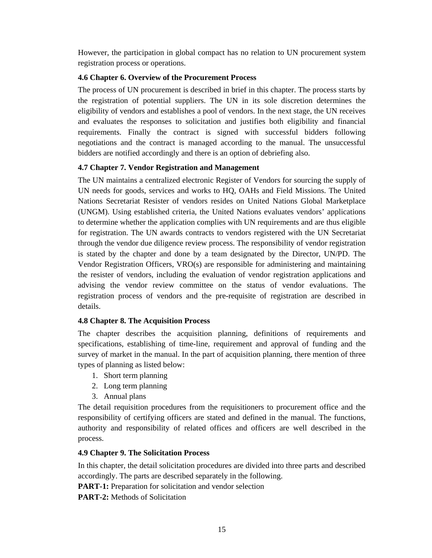However, the participation in global compact has no relation to UN procurement system registration process or operations.

# **4.6 Chapter 6. Overview of the Procurement Process**

The process of UN procurement is described in brief in this chapter. The process starts by the registration of potential suppliers. The UN in its sole discretion determines the eligibility of vendors and establishes a pool of vendors. In the next stage, the UN receives and evaluates the responses to solicitation and justifies both eligibility and financial requirements. Finally the contract is signed with successful bidders following negotiations and the contract is managed according to the manual. The unsuccessful bidders are notified accordingly and there is an option of debriefing also.

### **4.7 Chapter 7. Vendor Registration and Management**

The UN maintains a centralized electronic Register of Vendors for sourcing the supply of UN needs for goods, services and works to HQ, OAHs and Field Missions. The United Nations Secretariat Resister of vendors resides on United Nations Global Marketplace (UNGM). Using established criteria, the United Nations evaluates vendors' applications to determine whether the application complies with UN requirements and are thus eligible for registration. The UN awards contracts to vendors registered with the UN Secretariat through the vendor due diligence review process. The responsibility of vendor registration is stated by the chapter and done by a team designated by the Director, UN/PD. The Vendor Registration Officers, VRO(s) are responsible for administering and maintaining the resister of vendors, including the evaluation of vendor registration applications and advising the vendor review committee on the status of vendor evaluations. The registration process of vendors and the pre-requisite of registration are described in details.

### **4.8 Chapter 8. The Acquisition Process**

The chapter describes the acquisition planning, definitions of requirements and specifications, establishing of time-line, requirement and approval of funding and the survey of market in the manual. In the part of acquisition planning, there mention of three types of planning as listed below:

- 1. Short term planning
- 2. Long term planning
- 3. Annual plans

The detail requisition procedures from the requisitioners to procurement office and the responsibility of certifying officers are stated and defined in the manual. The functions, authority and responsibility of related offices and officers are well described in the process.

### **4.9 Chapter 9. The Solicitation Process**

In this chapter, the detail solicitation procedures are divided into three parts and described accordingly. The parts are described separately in the following.

**PART-1:** Preparation for solicitation and vendor selection

**PART-2:** Methods of Solicitation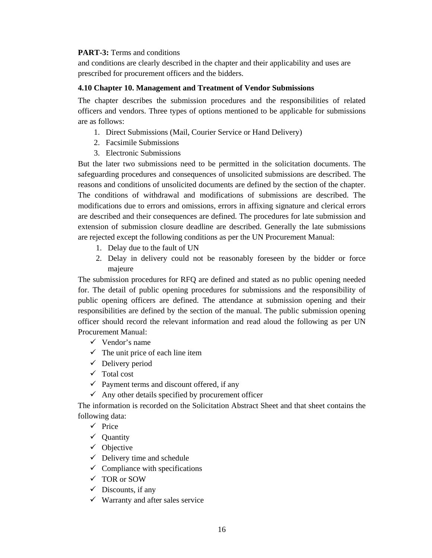### **PART-3:** Terms and conditions

and conditions are clearly described in the chapter and their applicability and uses are prescribed for procurement officers and the bidders.

### **4.10 Chapter 10. Management and Treatment of Vendor Submissions**

The chapter describes the submission procedures and the responsibilities of related officers and vendors. Three types of options mentioned to be applicable for submissions are as follows:

- 1. Direct Submissions (Mail, Courier Service or Hand Delivery)
- 2. Facsimile Submissions
- 3. Electronic Submissions

But the later two submissions need to be permitted in the solicitation documents. The safeguarding procedures and consequences of unsolicited submissions are described. The reasons and conditions of unsolicited documents are defined by the section of the chapter. The conditions of withdrawal and modifications of submissions are described. The modifications due to errors and omissions, errors in affixing signature and clerical errors are described and their consequences are defined. The procedures for late submission and extension of submission closure deadline are described. Generally the late submissions are rejected except the following conditions as per the UN Procurement Manual:

- 1. Delay due to the fault of UN
- 2. Delay in delivery could not be reasonably foreseen by the bidder or force majeure

The submission procedures for RFQ are defined and stated as no public opening needed for. The detail of public opening procedures for submissions and the responsibility of public opening officers are defined. The attendance at submission opening and their responsibilities are defined by the section of the manual. The public submission opening officer should record the relevant information and read aloud the following as per UN Procurement Manual:

- $\checkmark$  Vendor's name
- $\checkmark$  The unit price of each line item
- $\checkmark$  Delivery period
- $\checkmark$  Total cost
- $\checkmark$  Payment terms and discount offered, if any
- $\checkmark$  Any other details specified by procurement officer

The information is recorded on the Solicitation Abstract Sheet and that sheet contains the following data:

- $\checkmark$  Price
- $\checkmark$  Quantity
- $\checkmark$  Objective
- $\checkmark$  Delivery time and schedule
- $\checkmark$  Compliance with specifications
- $\checkmark$  TOR or SOW
- $\checkmark$  Discounts, if any
- $\checkmark$  Warranty and after sales service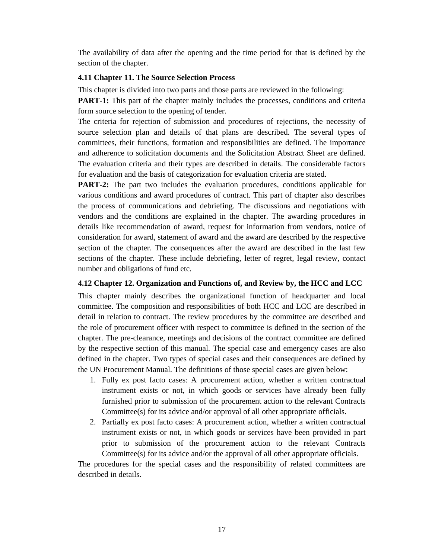The availability of data after the opening and the time period for that is defined by the section of the chapter.

### **4.11 Chapter 11. The Source Selection Process**

This chapter is divided into two parts and those parts are reviewed in the following:

**PART-1:** This part of the chapter mainly includes the processes, conditions and criteria form source selection to the opening of tender.

The criteria for rejection of submission and procedures of rejections, the necessity of source selection plan and details of that plans are described. The several types of committees, their functions, formation and responsibilities are defined. The importance and adherence to solicitation documents and the Solicitation Abstract Sheet are defined. The evaluation criteria and their types are described in details. The considerable factors for evaluation and the basis of categorization for evaluation criteria are stated.

**PART-2:** The part two includes the evaluation procedures, conditions applicable for various conditions and award procedures of contract. This part of chapter also describes the process of communications and debriefing. The discussions and negotiations with vendors and the conditions are explained in the chapter. The awarding procedures in details like recommendation of award, request for information from vendors, notice of consideration for award, statement of award and the award are described by the respective section of the chapter. The consequences after the award are described in the last few sections of the chapter. These include debriefing, letter of regret, legal review, contact number and obligations of fund etc.

# **4.12 Chapter 12. Organization and Functions of, and Review by, the HCC and LCC**

This chapter mainly describes the organizational function of headquarter and local committee. The composition and responsibilities of both HCC and LCC are described in detail in relation to contract. The review procedures by the committee are described and the role of procurement officer with respect to committee is defined in the section of the chapter. The pre-clearance, meetings and decisions of the contract committee are defined by the respective section of this manual. The special case and emergency cases are also defined in the chapter. Two types of special cases and their consequences are defined by the UN Procurement Manual. The definitions of those special cases are given below:

- 1. Fully ex post facto cases: A procurement action, whether a written contractual instrument exists or not, in which goods or services have already been fully furnished prior to submission of the procurement action to the relevant Contracts Committee(s) for its advice and/or approval of all other appropriate officials.
- 2. Partially ex post facto cases: A procurement action, whether a written contractual instrument exists or not, in which goods or services have been provided in part prior to submission of the procurement action to the relevant Contracts Committee(s) for its advice and/or the approval of all other appropriate officials.

The procedures for the special cases and the responsibility of related committees are described in details.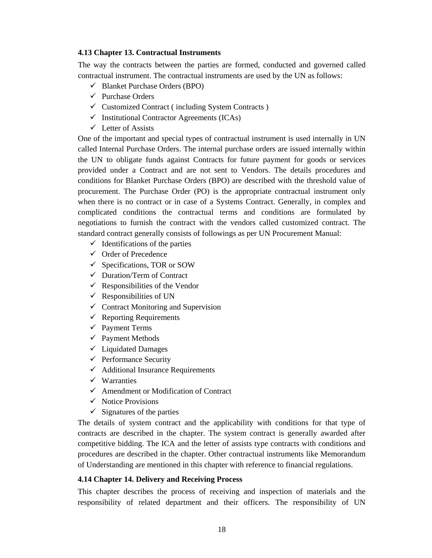### **4.13 Chapter 13. Contractual Instruments**

The way the contracts between the parties are formed, conducted and governed called contractual instrument. The contractual instruments are used by the UN as follows:

- $\checkmark$  Blanket Purchase Orders (BPO)
- $\checkmark$  Purchase Orders
- $\checkmark$  Customized Contract ( including System Contracts )
- $\checkmark$  Institutional Contractor Agreements (ICAs)
- $\checkmark$  Letter of Assists

One of the important and special types of contractual instrument is used internally in UN called Internal Purchase Orders. The internal purchase orders are issued internally within the UN to obligate funds against Contracts for future payment for goods or services provided under a Contract and are not sent to Vendors. The details procedures and conditions for Blanket Purchase Orders (BPO) are described with the threshold value of procurement. The Purchase Order (PO) is the appropriate contractual instrument only when there is no contract or in case of a Systems Contract. Generally, in complex and complicated conditions the contractual terms and conditions are formulated by negotiations to furnish the contract with the vendors called customized contract. The standard contract generally consists of followings as per UN Procurement Manual:

- $\checkmark$  Identifications of the parties
- $\checkmark$  Order of Precedence
- $\checkmark$  Specifications, TOR or SOW
- $\checkmark$  Duration/Term of Contract
- $\checkmark$  Responsibilities of the Vendor
- $\checkmark$  Responsibilities of UN
- $\checkmark$  Contract Monitoring and Supervision
- $\checkmark$  Reporting Requirements
- $\checkmark$  Payment Terms
- $\checkmark$  Payment Methods
- $\checkmark$  Liquidated Damages
- $\checkmark$  Performance Security
- $\checkmark$  Additional Insurance Requirements
- $\checkmark$  Warranties
- $\checkmark$  Amendment or Modification of Contract
- $\checkmark$  Notice Provisions
- $\checkmark$  Signatures of the parties

The details of system contract and the applicability with conditions for that type of contracts are described in the chapter. The system contract is generally awarded after competitive bidding. The ICA and the letter of assists type contracts with conditions and procedures are described in the chapter. Other contractual instruments like Memorandum of Understanding are mentioned in this chapter with reference to financial regulations.

# **4.14 Chapter 14. Delivery and Receiving Process**

This chapter describes the process of receiving and inspection of materials and the responsibility of related department and their officers. The responsibility of UN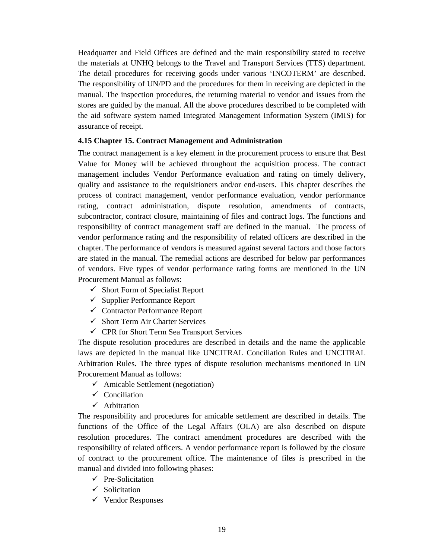Headquarter and Field Offices are defined and the main responsibility stated to receive the materials at UNHQ belongs to the Travel and Transport Services (TTS) department. The detail procedures for receiving goods under various 'INCOTERM' are described. The responsibility of UN/PD and the procedures for them in receiving are depicted in the manual. The inspection procedures, the returning material to vendor and issues from the stores are guided by the manual. All the above procedures described to be completed with the aid software system named Integrated Management Information System (IMIS) for assurance of receipt.

### **4.15 Chapter 15. Contract Management and Administration**

The contract management is a key element in the procurement process to ensure that Best Value for Money will be achieved throughout the acquisition process. The contract management includes Vendor Performance evaluation and rating on timely delivery, quality and assistance to the requisitioners and/or end-users. This chapter describes the process of contract management, vendor performance evaluation, vendor performance rating, contract administration, dispute resolution, amendments of contracts, subcontractor, contract closure, maintaining of files and contract logs. The functions and responsibility of contract management staff are defined in the manual. The process of vendor performance rating and the responsibility of related officers are described in the chapter. The performance of vendors is measured against several factors and those factors are stated in the manual. The remedial actions are described for below par performances of vendors. Five types of vendor performance rating forms are mentioned in the UN Procurement Manual as follows:

- $\checkmark$  Short Form of Specialist Report
- $\checkmark$  Supplier Performance Report
- $\checkmark$  Contractor Performance Report
- $\checkmark$  Short Term Air Charter Services
- $\checkmark$  CPR for Short Term Sea Transport Services

The dispute resolution procedures are described in details and the name the applicable laws are depicted in the manual like UNCITRAL Conciliation Rules and UNCITRAL Arbitration Rules. The three types of dispute resolution mechanisms mentioned in UN Procurement Manual as follows:

- $\checkmark$  Amicable Settlement (negotiation)
- $\checkmark$  Conciliation
- $\checkmark$  Arbitration

The responsibility and procedures for amicable settlement are described in details. The functions of the Office of the Legal Affairs (OLA) are also described on dispute resolution procedures. The contract amendment procedures are described with the responsibility of related officers. A vendor performance report is followed by the closure of contract to the procurement office. The maintenance of files is prescribed in the manual and divided into following phases:

- $\checkmark$  Pre-Solicitation
- $\checkmark$  Solicitation
- $\checkmark$  Vendor Responses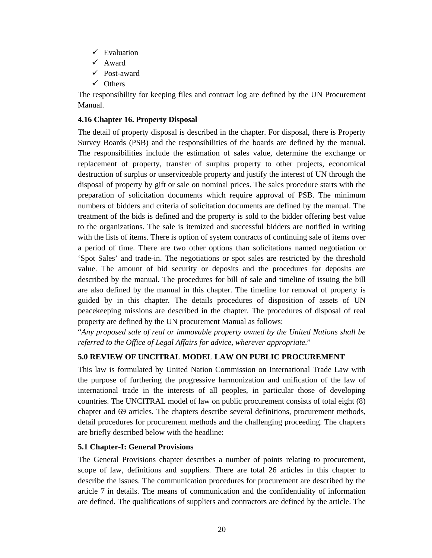- $\checkmark$  Evaluation
- $\checkmark$  Award
- $\checkmark$  Post-award
- $\checkmark$  Others

The responsibility for keeping files and contract log are defined by the UN Procurement Manual.

# **4.16 Chapter 16. Property Disposal**

The detail of property disposal is described in the chapter. For disposal, there is Property Survey Boards (PSB) and the responsibilities of the boards are defined by the manual. The responsibilities include the estimation of sales value, determine the exchange or replacement of property, transfer of surplus property to other projects, economical destruction of surplus or unserviceable property and justify the interest of UN through the disposal of property by gift or sale on nominal prices. The sales procedure starts with the preparation of solicitation documents which require approval of PSB. The minimum numbers of bidders and criteria of solicitation documents are defined by the manual. The treatment of the bids is defined and the property is sold to the bidder offering best value to the organizations. The sale is itemized and successful bidders are notified in writing with the lists of items. There is option of system contracts of continuing sale of items over a period of time. There are two other options than solicitations named negotiation or 'Spot Sales' and trade-in. The negotiations or spot sales are restricted by the threshold value. The amount of bid security or deposits and the procedures for deposits are described by the manual. The procedures for bill of sale and timeline of issuing the bill are also defined by the manual in this chapter. The timeline for removal of property is guided by in this chapter. The details procedures of disposition of assets of UN peacekeeping missions are described in the chapter. The procedures of disposal of real property are defined by the UN procurement Manual as follows:

"*Any proposed sale of real or immovable property owned by the United Nations shall be referred to the Office of Legal Affairs for advice, wherever appropriate*."

# **5.0 REVIEW OF UNCITRAL MODEL LAW ON PUBLIC PROCUREMENT**

This law is formulated by United Nation Commission on International Trade Law with the purpose of furthering the progressive harmonization and unification of the law of international trade in the interests of all peoples, in particular those of developing countries. The UNCITRAL model of law on public procurement consists of total eight (8) chapter and 69 articles. The chapters describe several definitions, procurement methods, detail procedures for procurement methods and the challenging proceeding. The chapters are briefly described below with the headline:

# **5.1 Chapter-I: General Provisions**

The General Provisions chapter describes a number of points relating to procurement, scope of law, definitions and suppliers. There are total 26 articles in this chapter to describe the issues. The communication procedures for procurement are described by the article 7 in details. The means of communication and the confidentiality of information are defined. The qualifications of suppliers and contractors are defined by the article. The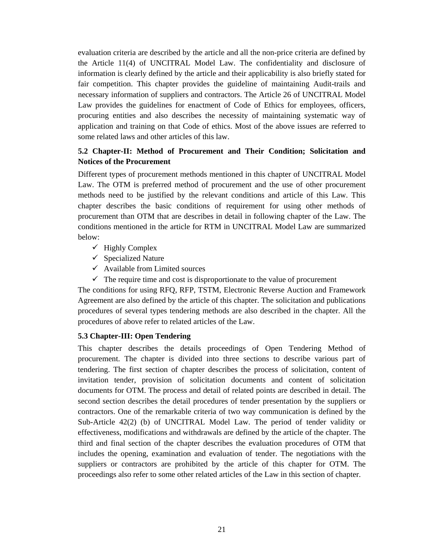evaluation criteria are described by the article and all the non-price criteria are defined by the Article 11(4) of UNCITRAL Model Law. The confidentiality and disclosure of information is clearly defined by the article and their applicability is also briefly stated for fair competition. This chapter provides the guideline of maintaining Audit-trails and necessary information of suppliers and contractors. The Article 26 of UNCITRAL Model Law provides the guidelines for enactment of Code of Ethics for employees, officers, procuring entities and also describes the necessity of maintaining systematic way of application and training on that Code of ethics. Most of the above issues are referred to some related laws and other articles of this law.

# **5.2 Chapter-II: Method of Procurement and Their Condition; Solicitation and Notices of the Procurement**

Different types of procurement methods mentioned in this chapter of UNCITRAL Model Law. The OTM is preferred method of procurement and the use of other procurement methods need to be justified by the relevant conditions and article of this Law. This chapter describes the basic conditions of requirement for using other methods of procurement than OTM that are describes in detail in following chapter of the Law. The conditions mentioned in the article for RTM in UNCITRAL Model Law are summarized below:

- $\checkmark$  Highly Complex
- $\checkmark$  Specialized Nature
- $\checkmark$  Available from Limited sources
- $\checkmark$  The require time and cost is disproportionate to the value of procurement

The conditions for using RFQ, RFP, TSTM, Electronic Reverse Auction and Framework Agreement are also defined by the article of this chapter. The solicitation and publications procedures of several types tendering methods are also described in the chapter. All the procedures of above refer to related articles of the Law.

# **5.3 Chapter-III: Open Tendering**

This chapter describes the details proceedings of Open Tendering Method of procurement. The chapter is divided into three sections to describe various part of tendering. The first section of chapter describes the process of solicitation, content of invitation tender, provision of solicitation documents and content of solicitation documents for OTM. The process and detail of related points are described in detail. The second section describes the detail procedures of tender presentation by the suppliers or contractors. One of the remarkable criteria of two way communication is defined by the Sub-Article 42(2) (b) of UNCITRAL Model Law. The period of tender validity or effectiveness, modifications and withdrawals are defined by the article of the chapter. The third and final section of the chapter describes the evaluation procedures of OTM that includes the opening, examination and evaluation of tender. The negotiations with the suppliers or contractors are prohibited by the article of this chapter for OTM. The proceedings also refer to some other related articles of the Law in this section of chapter.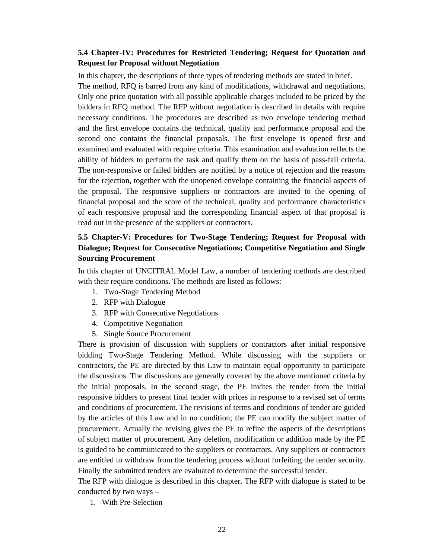# **5.4 Chapter-IV: Procedures for Restricted Tendering; Request for Quotation and Request for Proposal without Negotiation**

In this chapter, the descriptions of three types of tendering methods are stated in brief. The method, RFQ is barred from any kind of modifications, withdrawal and negotiations. Only one price quotation with all possible applicable charges included to be priced by the bidders in RFQ method. The RFP without negotiation is described in details with require necessary conditions. The procedures are described as two envelope tendering method and the first envelope contains the technical, quality and performance proposal and the second one contains the financial proposals. The first envelope is opened first and examined and evaluated with require criteria. This examination and evaluation reflects the ability of bidders to perform the task and qualify them on the basis of pass-fail criteria. The non-responsive or failed bidders are notified by a notice of rejection and the reasons for the rejection, together with the unopened envelope containing the financial aspects of the proposal. The responsive suppliers or contractors are invited to the opening of financial proposal and the score of the technical, quality and performance characteristics of each responsive proposal and the corresponding financial aspect of that proposal is read out in the presence of the suppliers or contractors.

# **5.5 Chapter-V: Procedures for Two-Stage Tendering; Request for Proposal with Dialogue; Request for Consecutive Negotiations; Competitive Negotiation and Single Sourcing Procurement**

In this chapter of UNCITRAL Model Law, a number of tendering methods are described with their require conditions. The methods are listed as follows:

- 1. Two-Stage Tendering Method
- 2. RFP with Dialogue
- 3. RFP with Consecutive Negotiations
- 4. Competitive Negotiation
- 5. Single Source Procurement

There is provision of discussion with suppliers or contractors after initial responsive bidding Two-Stage Tendering Method. While discussing with the suppliers or contractors, the PE are directed by this Law to maintain equal opportunity to participate the discussions. The discussions are generally covered by the above mentioned criteria by the initial proposals. In the second stage, the PE invites the tender from the initial responsive bidders to present final tender with prices in response to a revised set of terms and conditions of procurement. The revisions of terms and conditions of tender are guided by the articles of this Law and in no condition; the PE can modify the subject matter of procurement. Actually the revising gives the PE to refine the aspects of the descriptions of subject matter of procurement. Any deletion, modification or addition made by the PE is guided to be communicated to the suppliers or contractors. Any suppliers or contractors are entitled to withdraw from the tendering process without forfeiting the tender security. Finally the submitted tenders are evaluated to determine the successful tender.

The RFP with dialogue is described in this chapter. The RFP with dialogue is stated to be conducted by two ways –

1. With Pre-Selection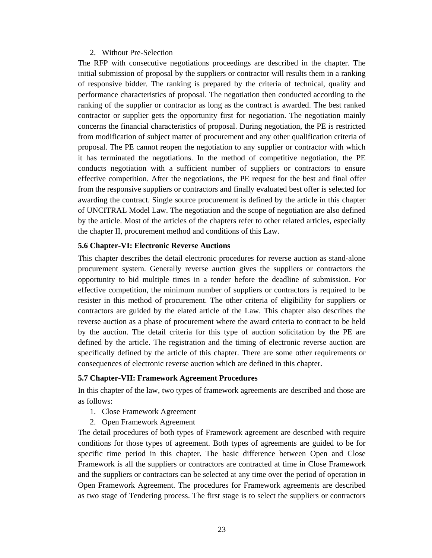#### 2. Without Pre-Selection

The RFP with consecutive negotiations proceedings are described in the chapter. The initial submission of proposal by the suppliers or contractor will results them in a ranking of responsive bidder. The ranking is prepared by the criteria of technical, quality and performance characteristics of proposal. The negotiation then conducted according to the ranking of the supplier or contractor as long as the contract is awarded. The best ranked contractor or supplier gets the opportunity first for negotiation. The negotiation mainly concerns the financial characteristics of proposal. During negotiation, the PE is restricted from modification of subject matter of procurement and any other qualification criteria of proposal. The PE cannot reopen the negotiation to any supplier or contractor with which it has terminated the negotiations. In the method of competitive negotiation, the PE conducts negotiation with a sufficient number of suppliers or contractors to ensure effective competition. After the negotiations, the PE request for the best and final offer from the responsive suppliers or contractors and finally evaluated best offer is selected for awarding the contract. Single source procurement is defined by the article in this chapter of UNCITRAL Model Law. The negotiation and the scope of negotiation are also defined by the article. Most of the articles of the chapters refer to other related articles, especially the chapter II, procurement method and conditions of this Law.

#### **5.6 Chapter-VI: Electronic Reverse Auctions**

This chapter describes the detail electronic procedures for reverse auction as stand-alone procurement system. Generally reverse auction gives the suppliers or contractors the opportunity to bid multiple times in a tender before the deadline of submission. For effective competition, the minimum number of suppliers or contractors is required to be resister in this method of procurement. The other criteria of eligibility for suppliers or contractors are guided by the elated article of the Law. This chapter also describes the reverse auction as a phase of procurement where the award criteria to contract to be held by the auction. The detail criteria for this type of auction solicitation by the PE are defined by the article. The registration and the timing of electronic reverse auction are specifically defined by the article of this chapter. There are some other requirements or consequences of electronic reverse auction which are defined in this chapter.

#### **5.7 Chapter-VII: Framework Agreement Procedures**

In this chapter of the law, two types of framework agreements are described and those are as follows:

- 1. Close Framework Agreement
- 2. Open Framework Agreement

The detail procedures of both types of Framework agreement are described with require conditions for those types of agreement. Both types of agreements are guided to be for specific time period in this chapter. The basic difference between Open and Close Framework is all the suppliers or contractors are contracted at time in Close Framework and the suppliers or contractors can be selected at any time over the period of operation in Open Framework Agreement. The procedures for Framework agreements are described as two stage of Tendering process. The first stage is to select the suppliers or contractors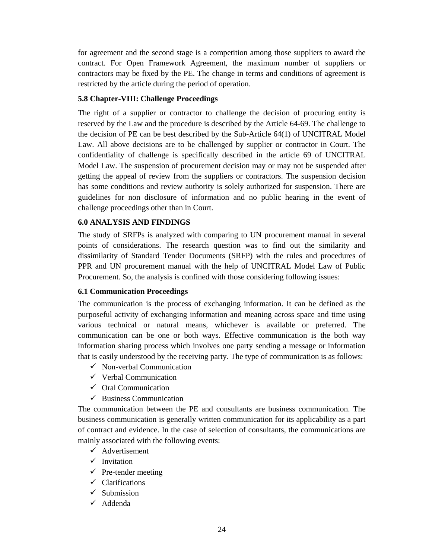for agreement and the second stage is a competition among those suppliers to award the contract. For Open Framework Agreement, the maximum number of suppliers or contractors may be fixed by the PE. The change in terms and conditions of agreement is restricted by the article during the period of operation.

# **5.8 Chapter-VIII: Challenge Proceedings**

The right of a supplier or contractor to challenge the decision of procuring entity is reserved by the Law and the procedure is described by the Article 64-69. The challenge to the decision of PE can be best described by the Sub-Article 64(1) of UNCITRAL Model Law. All above decisions are to be challenged by supplier or contractor in Court. The confidentiality of challenge is specifically described in the article 69 of UNCITRAL Model Law. The suspension of procurement decision may or may not be suspended after getting the appeal of review from the suppliers or contractors. The suspension decision has some conditions and review authority is solely authorized for suspension. There are guidelines for non disclosure of information and no public hearing in the event of challenge proceedings other than in Court.

# **6.0 ANALYSIS AND FINDINGS**

The study of SRFPs is analyzed with comparing to UN procurement manual in several points of considerations. The research question was to find out the similarity and dissimilarity of Standard Tender Documents (SRFP) with the rules and procedures of PPR and UN procurement manual with the help of UNCITRAL Model Law of Public Procurement. So, the analysis is confined with those considering following issues:

# **6.1 Communication Proceedings**

The communication is the process of exchanging information. It can be defined as the purposeful activity of exchanging information and meaning across space and time using various technical or natural means, whichever is available or preferred. The communication can be one or both ways. Effective communication is the both way information sharing process which involves one party sending a message or information that is easily understood by the receiving party. The type of communication is as follows:

- $\checkmark$  Non-verbal Communication
- $\checkmark$  Verbal Communication
- $\checkmark$  Oral Communication
- $\checkmark$  Business Communication

The communication between the PE and consultants are business communication. The business communication is generally written communication for its applicability as a part of contract and evidence. In the case of selection of consultants, the communications are mainly associated with the following events:

- $\checkmark$  Advertisement
- $\checkmark$  Invitation
- $\checkmark$  Pre-tender meeting
- $\checkmark$  Clarifications
- $\checkmark$  Submission
- $\checkmark$  Addenda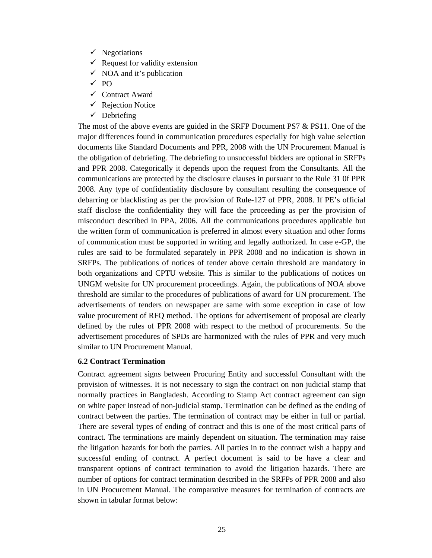- $\checkmark$  Negotiations
- $\checkmark$  Request for validity extension
- $\checkmark$  NOA and it's publication
- $\sqrt{PQ}$
- $\checkmark$  Contract Award
- $\checkmark$  Rejection Notice
- $\checkmark$  Debriefing

The most of the above events are guided in the SRFP Document PS7 & PS11. One of the major differences found in communication procedures especially for high value selection documents like Standard Documents and PPR, 2008 with the UN Procurement Manual is the obligation of debriefing. The debriefing to unsuccessful bidders are optional in SRFPs and PPR 2008. Categorically it depends upon the request from the Consultants. All the communications are protected by the disclosure clauses in pursuant to the Rule 31 0f PPR 2008. Any type of confidentiality disclosure by consultant resulting the consequence of debarring or blacklisting as per the provision of Rule-127 of PPR, 2008. If PE's official staff disclose the confidentiality they will face the proceeding as per the provision of misconduct described in PPA, 2006. All the communications procedures applicable but the written form of communication is preferred in almost every situation and other forms of communication must be supported in writing and legally authorized. In case e-GP, the rules are said to be formulated separately in PPR 2008 and no indication is shown in SRFPs. The publications of notices of tender above certain threshold are mandatory in both organizations and CPTU website. This is similar to the publications of notices on UNGM website for UN procurement proceedings. Again, the publications of NOA above threshold are similar to the procedures of publications of award for UN procurement. The advertisements of tenders on newspaper are same with some exception in case of low value procurement of RFQ method. The options for advertisement of proposal are clearly defined by the rules of PPR 2008 with respect to the method of procurements. So the advertisement procedures of SPDs are harmonized with the rules of PPR and very much similar to UN Procurement Manual.

### **6.2 Contract Termination**

Contract agreement signs between Procuring Entity and successful Consultant with the provision of witnesses. It is not necessary to sign the contract on non judicial stamp that normally practices in Bangladesh. According to Stamp Act contract agreement can sign on white paper instead of non-judicial stamp. Termination can be defined as the ending of contract between the parties. The termination of contract may be either in full or partial. There are several types of ending of contract and this is one of the most critical parts of contract. The terminations are mainly dependent on situation. The termination may raise the litigation hazards for both the parties. All parties in to the contract wish a happy and successful ending of contract. A perfect document is said to be have a clear and transparent options of contract termination to avoid the litigation hazards. There are number of options for contract termination described in the SRFPs of PPR 2008 and also in UN Procurement Manual. The comparative measures for termination of contracts are shown in tabular format below: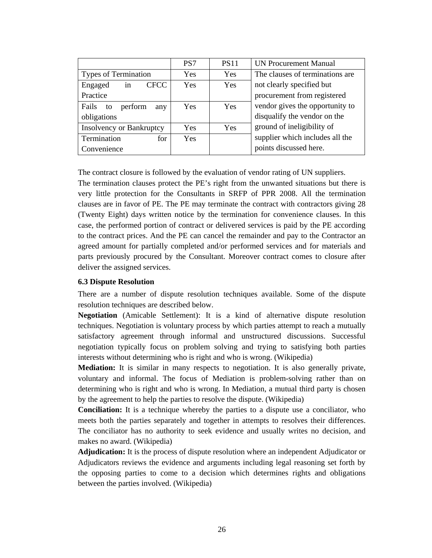|                                 | PS7        | <b>PS11</b> | <b>UN Procurement Manual</b>    |  |
|---------------------------------|------------|-------------|---------------------------------|--|
| <b>Types of Termination</b>     | <b>Yes</b> | Yes         | The clauses of terminations are |  |
| <b>CFCC</b><br>in<br>Engaged    | <b>Yes</b> | Yes         | not clearly specified but       |  |
| Practice                        |            |             | procurement from registered     |  |
| Fails<br>perform<br>to<br>any   | <b>Yes</b> | Yes         | vendor gives the opportunity to |  |
| obligations                     |            |             | disqualify the vendor on the    |  |
| <b>Insolvency or Bankruptcy</b> | <b>Yes</b> | Yes         | ground of ineligibility of      |  |
| Termination<br>for              | <b>Yes</b> |             | supplier which includes all the |  |
| Convenience                     |            |             | points discussed here.          |  |

The contract closure is followed by the evaluation of vendor rating of UN suppliers. The termination clauses protect the PE's right from the unwanted situations but there is very little protection for the Consultants in SRFP of PPR 2008. All the termination clauses are in favor of PE. The PE may terminate the contract with contractors giving 28 (Twenty Eight) days written notice by the termination for convenience clauses. In this case, the performed portion of contract or delivered services is paid by the PE according to the contract prices. And the PE can cancel the remainder and pay to the Contractor an agreed amount for partially completed and/or performed services and for materials and parts previously procured by the Consultant. Moreover contract comes to closure after deliver the assigned services.

### **6.3 Dispute Resolution**

There are a number of dispute resolution techniques available. Some of the dispute resolution techniques are described below.

**Negotiation** (Amicable Settlement): It is a kind of alternative dispute resolution techniques. Negotiation is voluntary process by which parties attempt to reach a mutually satisfactory agreement through informal and unstructured discussions. Successful negotiation typically focus on problem solving and trying to satisfying both parties interests without determining who is right and who is wrong. (Wikipedia)

**Mediation:** It is similar in many respects to negotiation. It is also generally private, voluntary and informal. The focus of Mediation is problem-solving rather than on determining who is right and who is wrong. In Mediation, a mutual third party is chosen by the agreement to help the parties to resolve the dispute. (Wikipedia)

**Conciliation:** It is a technique whereby the parties to a dispute use a conciliator, who meets both the parties separately and together in attempts to resolves their differences. The conciliator has no authority to seek evidence and usually writes no decision, and makes no award. (Wikipedia)

**Adjudication:** It is the process of dispute resolution where an independent Adjudicator or Adjudicators reviews the evidence and arguments including legal reasoning set forth by the opposing parties to come to a decision which determines rights and obligations between the parties involved. (Wikipedia)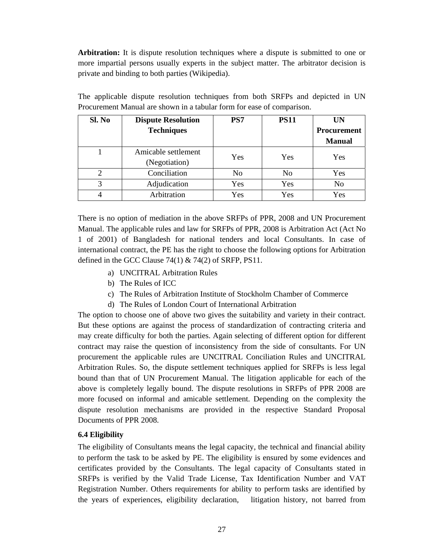**Arbitration:** It is dispute resolution techniques where a dispute is submitted to one or more impartial persons usually experts in the subject matter. The arbitrator decision is private and binding to both parties (Wikipedia).

| Sl. No        | <b>Dispute Resolution</b> | PS7 | <b>PS11</b> | UN                 |
|---------------|---------------------------|-----|-------------|--------------------|
|               | <b>Techniques</b>         |     |             | <b>Procurement</b> |
|               |                           |     |             | <b>Manual</b>      |
|               | Amicable settlement       | Yes | Yes         | Yes                |
|               | (Negotiation)             |     |             |                    |
|               | Conciliation              | No  | No          | Yes                |
| $\mathcal{R}$ | Adjudication              | Yes | Yes         | N <sub>0</sub>     |
|               | Arbitration               | Yes | Yes         | Yes                |

The applicable dispute resolution techniques from both SRFPs and depicted in UN Procurement Manual are shown in a tabular form for ease of comparison.

There is no option of mediation in the above SRFPs of PPR, 2008 and UN Procurement Manual. The applicable rules and law for SRFPs of PPR, 2008 is Arbitration Act (Act No 1 of 2001) of Bangladesh for national tenders and local Consultants. In case of international contract, the PE has the right to choose the following options for Arbitration defined in the GCC Clause  $74(1)$  &  $74(2)$  of SRFP, PS11.

- a) UNCITRAL Arbitration Rules
- b) The Rules of ICC
- c) The Rules of Arbitration Institute of Stockholm Chamber of Commerce
- d) The Rules of London Court of International Arbitration

The option to choose one of above two gives the suitability and variety in their contract. But these options are against the process of standardization of contracting criteria and may create difficulty for both the parties. Again selecting of different option for different contract may raise the question of inconsistency from the side of consultants. For UN procurement the applicable rules are UNCITRAL Conciliation Rules and UNCITRAL Arbitration Rules. So, the dispute settlement techniques applied for SRFPs is less legal bound than that of UN Procurement Manual. The litigation applicable for each of the above is completely legally bound. The dispute resolutions in SRFPs of PPR 2008 are more focused on informal and amicable settlement. Depending on the complexity the dispute resolution mechanisms are provided in the respective Standard Proposal Documents of PPR 2008.

# **6.4 Eligibility**

The eligibility of Consultants means the legal capacity, the technical and financial ability to perform the task to be asked by PE. The eligibility is ensured by some evidences and certificates provided by the Consultants. The legal capacity of Consultants stated in SRFPs is verified by the Valid Trade License, Tax Identification Number and VAT Registration Number. Others requirements for ability to perform tasks are identified by the years of experiences, eligibility declaration, litigation history, not barred from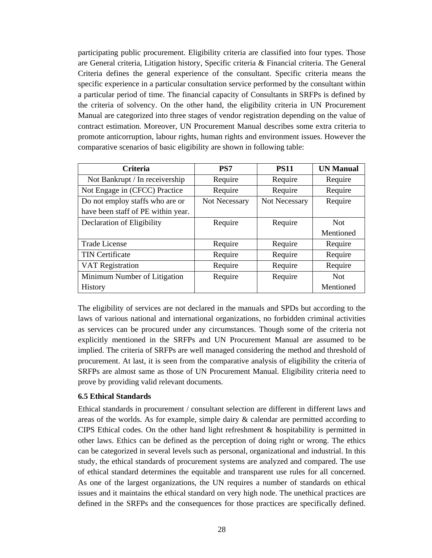participating public procurement. Eligibility criteria are classified into four types. Those are General criteria, Litigation history, Specific criteria & Financial criteria. The General Criteria defines the general experience of the consultant. Specific criteria means the specific experience in a particular consultation service performed by the consultant within a particular period of time. The financial capacity of Consultants in SRFPs is defined by the criteria of solvency. On the other hand, the eligibility criteria in UN Procurement Manual are categorized into three stages of vendor registration depending on the value of contract estimation. Moreover, UN Procurement Manual describes some extra criteria to promote anticorruption, labour rights, human rights and environment issues. However the comparative scenarios of basic eligibility are shown in following table:

| <b>Criteria</b>                    | PS7           | <b>PS11</b>   | <b>UN Manual</b> |
|------------------------------------|---------------|---------------|------------------|
| Not Bankrupt / In receivership     | Require       | Require       | Require          |
| Not Engage in (CFCC) Practice      | Require       | Require       | Require          |
| Do not employ staffs who are or    | Not Necessary | Not Necessary | Require          |
| have been staff of PE within year. |               |               |                  |
| Declaration of Eligibility         | Require       | Require       | <b>Not</b>       |
|                                    |               |               | Mentioned        |
| <b>Trade License</b>               | Require       | Require       | Require          |
| <b>TIN Certificate</b>             | Require       | Require       | Require          |
| <b>VAT Registration</b>            | Require       | Require       | Require          |
| Minimum Number of Litigation       | Require       | Require       | <b>Not</b>       |
| <b>History</b>                     |               |               | Mentioned        |

The eligibility of services are not declared in the manuals and SPDs but according to the laws of various national and international organizations, no forbidden criminal activities as services can be procured under any circumstances. Though some of the criteria not explicitly mentioned in the SRFPs and UN Procurement Manual are assumed to be implied. The criteria of SRFPs are well managed considering the method and threshold of procurement. At last, it is seen from the comparative analysis of eligibility the criteria of SRFPs are almost same as those of UN Procurement Manual. Eligibility criteria need to prove by providing valid relevant documents.

### **6.5 Ethical Standards**

Ethical standards in procurement / consultant selection are different in different laws and areas of the worlds. As for example, simple dairy & calendar are permitted according to CIPS Ethical codes. On the other hand light refreshment & hospitability is permitted in other laws. Ethics can be defined as the perception of doing right or wrong. The ethics can be categorized in several levels such as personal, organizational and industrial. In this study, the ethical standards of procurement systems are analyzed and compared. The use of ethical standard determines the equitable and transparent use rules for all concerned. As one of the largest organizations, the UN requires a number of standards on ethical issues and it maintains the ethical standard on very high node. The unethical practices are defined in the SRFPs and the consequences for those practices are specifically defined.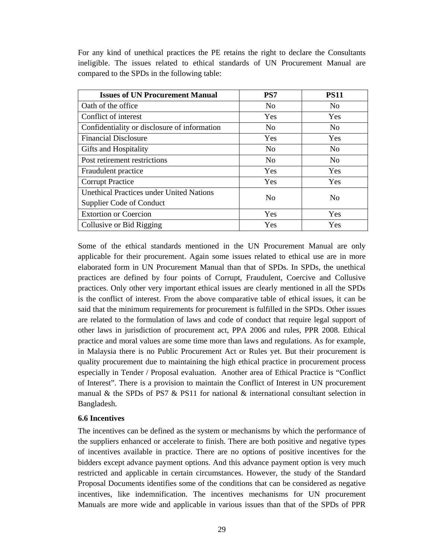For any kind of unethical practices the PE retains the right to declare the Consultants ineligible. The issues related to ethical standards of UN Procurement Manual are compared to the SPDs in the following table:

| <b>Issues of UN Procurement Manual</b>          | PS7            | <b>PS11</b>    |  |
|-------------------------------------------------|----------------|----------------|--|
| Oath of the office.                             | N <sub>0</sub> | N <sub>0</sub> |  |
| Conflict of interest                            | Yes            | Yes            |  |
| Confidentiality or disclosure of information    | N <sub>0</sub> | N <sub>0</sub> |  |
| <b>Financial Disclosure</b>                     | Yes            | Yes            |  |
| Gifts and Hospitality                           | N <sub>0</sub> | N <sub>0</sub> |  |
| Post retirement restrictions                    | N <sub>0</sub> | N <sub>0</sub> |  |
| Fraudulent practice                             | <b>Yes</b>     | Yes            |  |
| <b>Corrupt Practice</b>                         | Yes            | Yes            |  |
| <b>Unethical Practices under United Nations</b> | N <sub>0</sub> | No             |  |
| Supplier Code of Conduct                        |                |                |  |
| <b>Extortion or Coercion</b>                    | <b>Yes</b>     | Yes            |  |
| Collusive or Bid Rigging                        | Yes            | Yes            |  |

Some of the ethical standards mentioned in the UN Procurement Manual are only applicable for their procurement. Again some issues related to ethical use are in more elaborated form in UN Procurement Manual than that of SPDs. In SPDs, the unethical practices are defined by four points of Corrupt, Fraudulent, Coercive and Collusive practices. Only other very important ethical issues are clearly mentioned in all the SPDs is the conflict of interest. From the above comparative table of ethical issues, it can be said that the minimum requirements for procurement is fulfilled in the SPDs. Other issues are related to the formulation of laws and code of conduct that require legal support of other laws in jurisdiction of procurement act, PPA 2006 and rules, PPR 2008. Ethical practice and moral values are some time more than laws and regulations. As for example, in Malaysia there is no Public Procurement Act or Rules yet. But their procurement is quality procurement due to maintaining the high ethical practice in procurement process especially in Tender / Proposal evaluation. Another area of Ethical Practice is "Conflict of Interest". There is a provision to maintain the Conflict of Interest in UN procurement manual & the SPDs of PS7 & PS11 for national & international consultant selection in Bangladesh.

### **6.6 Incentives**

The incentives can be defined as the system or mechanisms by which the performance of the suppliers enhanced or accelerate to finish. There are both positive and negative types of incentives available in practice. There are no options of positive incentives for the bidders except advance payment options. And this advance payment option is very much restricted and applicable in certain circumstances. However, the study of the Standard Proposal Documents identifies some of the conditions that can be considered as negative incentives, like indemnification. The incentives mechanisms for UN procurement Manuals are more wide and applicable in various issues than that of the SPDs of PPR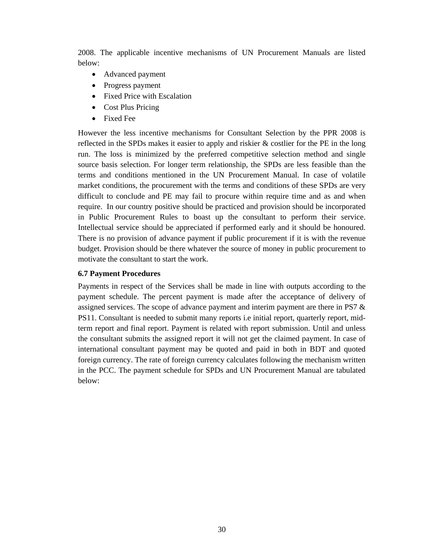2008. The applicable incentive mechanisms of UN Procurement Manuals are listed below:

- Advanced payment
- Progress payment
- Fixed Price with Escalation
- Cost Plus Pricing
- Fixed Fee

However the less incentive mechanisms for Consultant Selection by the PPR 2008 is reflected in the SPDs makes it easier to apply and riskier & costlier for the PE in the long run. The loss is minimized by the preferred competitive selection method and single source basis selection. For longer term relationship, the SPDs are less feasible than the terms and conditions mentioned in the UN Procurement Manual. In case of volatile market conditions, the procurement with the terms and conditions of these SPDs are very difficult to conclude and PE may fail to procure within require time and as and when require. In our country positive should be practiced and provision should be incorporated in Public Procurement Rules to boast up the consultant to perform their service. Intellectual service should be appreciated if performed early and it should be honoured. There is no provision of advance payment if public procurement if it is with the revenue budget. Provision should be there whatever the source of money in public procurement to motivate the consultant to start the work.

### **6.7 Payment Procedures**

Payments in respect of the Services shall be made in line with outputs according to the payment schedule. The percent payment is made after the acceptance of delivery of assigned services. The scope of advance payment and interim payment are there in PS7 & PS11. Consultant is needed to submit many reports i.e initial report, quarterly report, midterm report and final report. Payment is related with report submission. Until and unless the consultant submits the assigned report it will not get the claimed payment. In case of international consultant payment may be quoted and paid in both in BDT and quoted foreign currency. The rate of foreign currency calculates following the mechanism written in the PCC. The payment schedule for SPDs and UN Procurement Manual are tabulated below: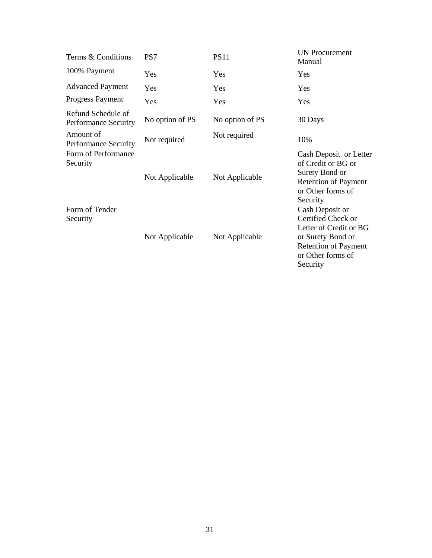| Terms & Conditions                                | PS7             | <b>PS11</b>     | <b>UN Procurement</b><br>Manual                                                                                                                      |
|---------------------------------------------------|-----------------|-----------------|------------------------------------------------------------------------------------------------------------------------------------------------------|
| 100% Payment                                      | Yes             | Yes             | Yes                                                                                                                                                  |
| <b>Advanced Payment</b>                           | Yes             | Yes             | Yes                                                                                                                                                  |
| Progress Payment                                  | Yes             | Yes             | Yes                                                                                                                                                  |
| Refund Schedule of<br><b>Performance Security</b> | No option of PS | No option of PS | 30 Days                                                                                                                                              |
| Amount of<br><b>Performance Security</b>          | Not required    | Not required    | 10%                                                                                                                                                  |
| Form of Performance<br>Security                   | Not Applicable  | Not Applicable  | Cash Deposit or Letter<br>of Credit or BG or<br>Surety Bond or<br><b>Retention of Payment</b><br>or Other forms of<br>Security                       |
| Form of Tender<br>Security                        | Not Applicable  | Not Applicable  | Cash Deposit or<br>Certified Check or<br>Letter of Credit or BG<br>or Surety Bond or<br><b>Retention of Payment</b><br>or Other forms of<br>Security |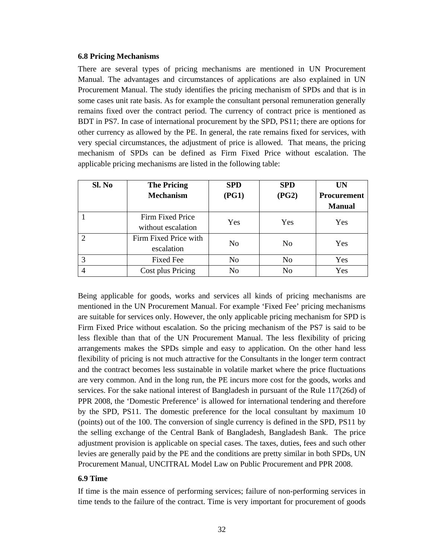#### **6.8 Pricing Mechanisms**

There are several types of pricing mechanisms are mentioned in UN Procurement Manual. The advantages and circumstances of applications are also explained in UN Procurement Manual. The study identifies the pricing mechanism of SPDs and that is in some cases unit rate basis. As for example the consultant personal remuneration generally remains fixed over the contract period. The currency of contract price is mentioned as BDT in PS7. In case of international procurement by the SPD, PS11; there are options for other currency as allowed by the PE. In general, the rate remains fixed for services, with very special circumstances, the adjustment of price is allowed. That means, the pricing mechanism of SPDs can be defined as Firm Fixed Price without escalation. The applicable pricing mechanisms are listed in the following table:

| Sl. No | <b>The Pricing</b>    | <b>SPD</b>     | <b>SPD</b>     | UN                 |
|--------|-----------------------|----------------|----------------|--------------------|
|        | <b>Mechanism</b>      | (PG1)          | (PG2)          | <b>Procurement</b> |
|        |                       |                |                | <b>Manual</b>      |
|        | Firm Fixed Price      | <b>Yes</b>     | Yes            | Yes                |
|        | without escalation    |                |                |                    |
|        | Firm Fixed Price with | N <sub>0</sub> | N <sub>0</sub> | <b>Yes</b>         |
|        | escalation            |                |                |                    |
|        | <b>Fixed Fee</b>      | N <sub>0</sub> | N <sub>0</sub> | Yes                |
|        | Cost plus Pricing     | N <sub>0</sub> | N <sub>0</sub> | Yes                |

Being applicable for goods, works and services all kinds of pricing mechanisms are mentioned in the UN Procurement Manual. For example 'Fixed Fee' pricing mechanisms are suitable for services only. However, the only applicable pricing mechanism for SPD is Firm Fixed Price without escalation. So the pricing mechanism of the PS7 is said to be less flexible than that of the UN Procurement Manual. The less flexibility of pricing arrangements makes the SPDs simple and easy to application. On the other hand less flexibility of pricing is not much attractive for the Consultants in the longer term contract and the contract becomes less sustainable in volatile market where the price fluctuations are very common. And in the long run, the PE incurs more cost for the goods, works and services. For the sake national interest of Bangladesh in pursuant of the Rule 117(26d) of PPR 2008, the 'Domestic Preference' is allowed for international tendering and therefore by the SPD, PS11. The domestic preference for the local consultant by maximum 10 (points) out of the 100. The conversion of single currency is defined in the SPD, PS11 by the selling exchange of the Central Bank of Bangladesh, Bangladesh Bank. The price adjustment provision is applicable on special cases. The taxes, duties, fees and such other levies are generally paid by the PE and the conditions are pretty similar in both SPDs, UN Procurement Manual, UNCITRAL Model Law on Public Procurement and PPR 2008.

### **6.9 Time**

If time is the main essence of performing services; failure of non-performing services in time tends to the failure of the contract. Time is very important for procurement of goods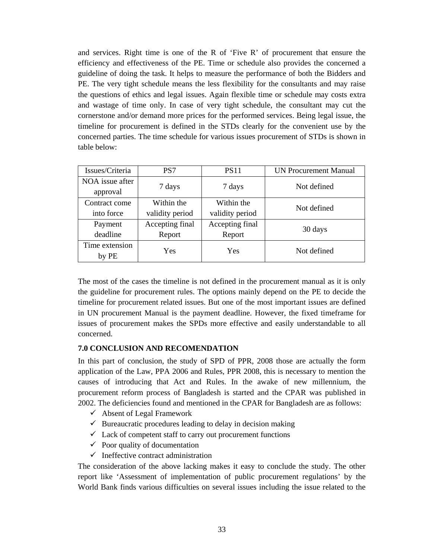and services. Right time is one of the R of 'Five R' of procurement that ensure the efficiency and effectiveness of the PE. Time or schedule also provides the concerned a guideline of doing the task. It helps to measure the performance of both the Bidders and PE. The very tight schedule means the less flexibility for the consultants and may raise the questions of ethics and legal issues. Again flexible time or schedule may costs extra and wastage of time only. In case of very tight schedule, the consultant may cut the cornerstone and/or demand more prices for the performed services. Being legal issue, the timeline for procurement is defined in the STDs clearly for the convenient use by the concerned parties. The time schedule for various issues procurement of STDs is shown in table below:

| Issues/Criteria | PS7             | <b>PS11</b>     | UN Procurement Manual |  |
|-----------------|-----------------|-----------------|-----------------------|--|
| NOA issue after | 7 days          | 7 days          | Not defined           |  |
| approval        |                 |                 |                       |  |
| Contract come   | Within the      | Within the      | Not defined           |  |
| into force      | validity period | validity period |                       |  |
| Payment         | Accepting final | Accepting final | 30 days               |  |
| deadline        | Report          | Report          |                       |  |
| Time extension  | Yes             | Yes             | Not defined           |  |
| by PE           |                 |                 |                       |  |

The most of the cases the timeline is not defined in the procurement manual as it is only the guideline for procurement rules. The options mainly depend on the PE to decide the timeline for procurement related issues. But one of the most important issues are defined in UN procurement Manual is the payment deadline. However, the fixed timeframe for issues of procurement makes the SPDs more effective and easily understandable to all concerned.

### **7.0 CONCLUSION AND RECOMENDATION**

In this part of conclusion, the study of SPD of PPR, 2008 those are actually the form application of the Law, PPA 2006 and Rules, PPR 2008, this is necessary to mention the causes of introducing that Act and Rules. In the awake of new millennium, the procurement reform process of Bangladesh is started and the CPAR was published in 2002. The deficiencies found and mentioned in the CPAR for Bangladesh are as follows:

- $\checkmark$  Absent of Legal Framework
- $\checkmark$  Bureaucratic procedures leading to delay in decision making
- $\checkmark$  Lack of competent staff to carry out procurement functions
- $\checkmark$  Poor quality of documentation
- $\checkmark$  Ineffective contract administration

The consideration of the above lacking makes it easy to conclude the study. The other report like 'Assessment of implementation of public procurement regulations' by the World Bank finds various difficulties on several issues including the issue related to the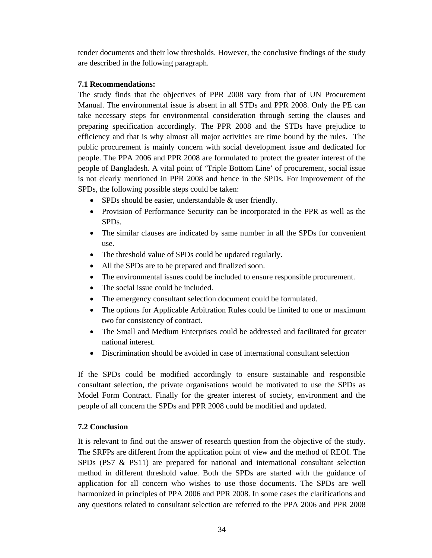tender documents and their low thresholds. However, the conclusive findings of the study are described in the following paragraph.

# **7.1 Recommendations:**

The study finds that the objectives of PPR 2008 vary from that of UN Procurement Manual. The environmental issue is absent in all STDs and PPR 2008. Only the PE can take necessary steps for environmental consideration through setting the clauses and preparing specification accordingly. The PPR 2008 and the STDs have prejudice to efficiency and that is why almost all major activities are time bound by the rules. The public procurement is mainly concern with social development issue and dedicated for people. The PPA 2006 and PPR 2008 are formulated to protect the greater interest of the people of Bangladesh. A vital point of 'Triple Bottom Line' of procurement, social issue is not clearly mentioned in PPR 2008 and hence in the SPDs. For improvement of the SPDs, the following possible steps could be taken:

- SPDs should be easier, understandable & user friendly.
- Provision of Performance Security can be incorporated in the PPR as well as the SPDs.
- The similar clauses are indicated by same number in all the SPDs for convenient use.
- The threshold value of SPDs could be updated regularly.
- All the SPDs are to be prepared and finalized soon.
- The environmental issues could be included to ensure responsible procurement.
- The social issue could be included.
- The emergency consultant selection document could be formulated.
- The options for Applicable Arbitration Rules could be limited to one or maximum two for consistency of contract.
- The Small and Medium Enterprises could be addressed and facilitated for greater national interest.
- Discrimination should be avoided in case of international consultant selection

If the SPDs could be modified accordingly to ensure sustainable and responsible consultant selection, the private organisations would be motivated to use the SPDs as Model Form Contract. Finally for the greater interest of society, environment and the people of all concern the SPDs and PPR 2008 could be modified and updated.

# **7.2 Conclusion**

It is relevant to find out the answer of research question from the objective of the study. The SRFPs are different from the application point of view and the method of REOI. The SPDs (PS7 & PS11) are prepared for national and international consultant selection method in different threshold value. Both the SPDs are started with the guidance of application for all concern who wishes to use those documents. The SPDs are well harmonized in principles of PPA 2006 and PPR 2008. In some cases the clarifications and any questions related to consultant selection are referred to the PPA 2006 and PPR 2008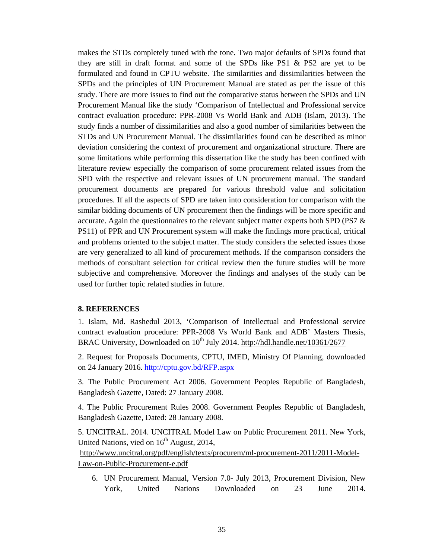makes the STDs completely tuned with the tone. Two major defaults of SPDs found that they are still in draft format and some of the SPDs like PS1 & PS2 are yet to be formulated and found in CPTU website. The similarities and dissimilarities between the SPDs and the principles of UN Procurement Manual are stated as per the issue of this study. There are more issues to find out the comparative status between the SPDs and UN Procurement Manual like the study 'Comparison of Intellectual and Professional service contract evaluation procedure: PPR-2008 Vs World Bank and ADB (Islam, 2013). The study finds a number of dissimilarities and also a good number of similarities between the STDs and UN Procurement Manual. The dissimilarities found can be described as minor deviation considering the context of procurement and organizational structure. There are some limitations while performing this dissertation like the study has been confined with literature review especially the comparison of some procurement related issues from the SPD with the respective and relevant issues of UN procurement manual. The standard procurement documents are prepared for various threshold value and solicitation procedures. If all the aspects of SPD are taken into consideration for comparison with the similar bidding documents of UN procurement then the findings will be more specific and accurate. Again the questionnaires to the relevant subject matter experts both SPD (PS7 & PS11) of PPR and UN Procurement system will make the findings more practical, critical and problems oriented to the subject matter. The study considers the selected issues those are very generalized to all kind of procurement methods. If the comparison considers the methods of consultant selection for critical review then the future studies will be more subjective and comprehensive. Moreover the findings and analyses of the study can be used for further topic related studies in future.

#### **8. REFERENCES**

1. Islam, Md. Rashedul 2013, 'Comparison of Intellectual and Professional service contract evaluation procedure: PPR-2008 Vs World Bank and ADB' Masters Thesis, BRAC University, Downloaded on  $10^{th}$  July 2014. http://hdl.handle.net/10361/2677

2. Request for Proposals Documents, CPTU, IMED, Ministry Of Planning, downloaded on 24 January 2016. http://cptu.gov.bd/RFP.aspx

3. The Public Procurement Act 2006. Government Peoples Republic of Bangladesh, Bangladesh Gazette, Dated: 27 January 2008.

4. The Public Procurement Rules 2008. Government Peoples Republic of Bangladesh, Bangladesh Gazette, Dated: 28 January 2008.

5. UNCITRAL. 2014. UNCITRAL Model Law on Public Procurement 2011. New York, United Nations, vied on  $16<sup>th</sup>$  August, 2014,

 http://www.uncitral.org/pdf/english/texts/procurem/ml-procurement-2011/2011-Model-Law-on-Public-Procurement-e.pdf

6. UN Procurement Manual, Version 7.0- July 2013, Procurement Division, New York, United Nations Downloaded on 23 June 2014.